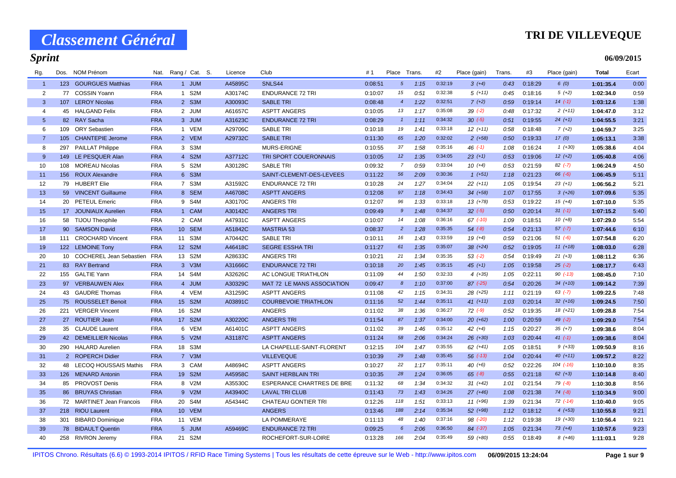### **TRI DE VILLEVEQUE**

**06/09/2015**

# *Sprint*

| Rg.            | Dos. | NOM Prénom                     | Nat.       | Rang / Cat. S. | Licence | Club                             | #1      | Place Trans           |      | #2      | Place (gain) | Trans. | #3      | Place (gain) | <b>Total</b> | Ecart |
|----------------|------|--------------------------------|------------|----------------|---------|----------------------------------|---------|-----------------------|------|---------|--------------|--------|---------|--------------|--------------|-------|
| $\overline{1}$ |      | 123 GOURGUES Matthias          | <b>FRA</b> | 1 JUM          | A45895C | SNLS44                           | 0:08:51 | $5\overline{)}$       | 1:15 | 0:32:19 | $3(+4)$      | 0:43   | 0:18:29 | 6(0)         | 1:01:35.4    | 0:00  |
| $\overline{2}$ |      | 77 COSSIN Yoann                | <b>FRA</b> | 1 S2M          | A30174C | <b>ENDURANCE 72 TRI</b>          | 0:10:07 | 15                    | 0:51 | 0:32:38 | $5(+11)$     | 0:45   | 0:18:16 | $5(+2)$      | 1:02:34.0    | 0:59  |
| 3              |      | 107 LEROY Nicolas              | <b>FRA</b> | 2 S3M          | A30093C | <b>SABLE TRI</b>                 | 0:08:48 | $\overline{4}$        | 1:22 | 0:32:51 | $7 (+2)$     | 0:59   | 0:19:14 | $14(-1)$     | 1:03:12.6    | 1:38  |
| $\overline{4}$ |      | 45 HALGAND Felix               | <b>FRA</b> | 2 JUM          | A61657C | <b>ASPTT ANGERS</b>              | 0:10:05 | 13                    | 1:17 | 0:35:08 | $39( -2)$    | 0:48   | 0:17:32 | $2(+11)$     | 1:04:47.0    | 3:12  |
| $5\phantom{1}$ |      | 82 RAY Sacha                   | <b>FRA</b> | 3 JUM          | A31623C | <b>ENDURANCE 72 TRI</b>          | 0:08:29 | $\mathbf{1}$          | 1:11 | 0:34:32 | $30 (-5)$    | 0:51   | 0:19:55 | $24 (+1)$    | 1:04:55.5    | 3:21  |
| 6              | 109  | <b>ORY Sebastien</b>           | <b>FRA</b> | 1 VEM          | A29706C | <b>SABLE TRI</b>                 | 0:10:18 | 19                    | 1:41 | 0:33:18 | $12 (+11)$   | 0:58   | 0:18:48 | $7(+2)$      | 1:04:59.7    | 3:25  |
| $\overline{7}$ |      | 105 CHANTEPIE Jerome           | <b>FRA</b> | 2 VEM          | A29732C | <b>SABLE TRI</b>                 | 0:11:30 | 65                    | 1:20 | 0:32:02 | $2(+58)$     | 0:50   | 0:19:33 | 17(0)        | 1:05:13.1    | 3:38  |
| 8              | 297  | <b>PAILLAT Philippe</b>        | <b>FRA</b> | 3 S3M          |         | MURS-ERIGNE                      | 0:10:55 | 37                    | 1:58 | 0:35:16 | 46 $(-1)$    | 1:08   | 0:16:24 | $1(+30)$     | 1:05:38.6    | 4:04  |
| 9              |      | 149 LE PESQUER Alan            | <b>FRA</b> | 4 S2M          | A37712C | TRI SPORT COUERONNAIS            | 0:10:05 | 12                    | 1:35 | 0:34:05 | $23 (+1)$    | 0:53   | 0:19:06 | $12 (+2)$    | 1:05:40.8    | 4:06  |
| 10             | 108  | <b>MOREAU Nicolas</b>          | <b>FRA</b> | 5 S2M          | A30128C | <b>SABLE TRI</b>                 | 0:09:32 | $\overline{7}$        | 0:59 | 0:33:04 | $10(+4)$     | 0:53   | 0:21:59 | $82$ $(-7)$  | 1:06:24.9    | 4:50  |
| 11             | 156  | <b>ROUX Alexandre</b>          | <b>FRA</b> | 6 S3M          |         | SAINT-CLEMENT-DES-LEVEES         | 0:11:22 | 56                    | 2:09 | 0:30:36 | $1 (+51)$    | 1:18   | 0:21:23 | $66 (-6)$    | 1:06:45.9    | 5:11  |
| 12             |      | 79 HUBERT Elie                 | <b>FRA</b> | 7 S3M          | A31592C | <b>ENDURANCE 72 TRI</b>          | 0:10:28 | 24                    | 1:27 | 0:34:04 | $22 (+11)$   | 1:05   | 0:19:54 | $23 (+1)$    | 1:06:56.2    | 5:21  |
| 13             |      | 59 VINCENT Guillaume           | <b>FRA</b> | 8 SEM          | A46708C | <b>ASPTT ANGERS</b>              | 0:12:08 | 97                    | 1:18 | 0:34:43 | $34 (+58)$   | 1:07   | 0:17:55 | $3(+26)$     | 1:07:09.6    | 5:35  |
| 14             |      | 20 PETEUL Emeric               | <b>FRA</b> | 9 S4M          | A30170C | <b>ANGERS TRI</b>                | 0:12:07 | 96                    | 1:33 | 0:33:18 | 13 (+78)     | 0:53   | 0:19:22 | $15 (+4)$    | 1:07:10.0    | 5:35  |
| 15             |      | 17 JOUNIAUX Aurelien           | <b>FRA</b> | 1 CAM          | A30142C | <b>ANGERS TRI</b>                | 0:09:49 | 9                     | 1:48 | 0:34:37 | $32 (-5)$    | 0:50   | 0:20:14 | $31 (-1)$    | 1:07:15.2    | 5:40  |
| 16             |      | 58 TIJOU Theophile             | FRA        | 2 CAM          | A47931C | <b>ASPTT ANGERS</b>              | 0:10:07 | 14                    | 1:08 | 0:36:16 | $67$ $(-10)$ | 1:09   | 0:18:51 | $10(+8)$     | 1:07:29.0    | 5:54  |
| 17             |      | 90 SAMSON David                | <b>FRA</b> | 10 SEM         | A51842C | <b>MASTRIA 53</b>                | 0:08:37 | $\overline{2}$        | 1:28 | 0:35:35 | $54$ $(-8)$  | 0:54   | 0:21:13 | $57 (-7)$    | 1:07:44.6    | 6:10  |
| 18             |      | 111 CROCHARD Vincent           | <b>FRA</b> | 11 S3M         | A70442C | <b>SABLE TRI</b>                 | 0:10:11 | 16                    | 1:43 | 0:33:59 | $19(+4)$     | 0:59   | 0:21:06 | $51 (-6)$    | 1:07:54.8    | 6:20  |
| 19             |      | 122 LEMOINE Tony               | <b>FRA</b> | 12 S2M         | A46418C | <b>SEGRE ESSHA TRI</b>           | 0:11:27 | 61                    | 1:35 | 0:35:07 | $38 (+24)$   | 0:52   | 0:19:05 | $11 (+18)$   | 1:08:03.0    | 6:28  |
| 20             |      | 10 COCHEREL Jean Sebastien FRA |            | 13 S2M         | A28633C | <b>ANGERS TRI</b>                | 0:10:21 | 21                    | 1:34 | 0:35:35 | $53( -2)$    | 0:54   | 0:19:49 | $21 (+3)$    | 1:08:11.2    | 6:36  |
| 21             |      | 83 RAY Bertrand                | <b>FRA</b> | 3 V3M          | A31666C | <b>ENDURANCE 72 TRI</b>          | 0:10:18 | 20                    | 1:45 | 0:35:15 | $45 (+1)$    | 1:05   | 0:19:58 | $25(-2)$     | 1:08:17.7    | 6:43  |
| 22             |      | 155 GALTIE Yann                | <b>FRA</b> | 14 S4M         | A32626C | AC LONGUE TRIATHLON              | 0:11:09 | 44                    | 1:50 | 0:32:33 | $4(+35)$     | 1:05   | 0:22:11 | $90 (-13)$   | 1:08:45.0    | 7:10  |
| 23             |      | 97 VERBAUWEN Alex              | <b>FRA</b> | 4 JUM          | A30329C | MAT 72 LE MANS ASSOCIATION       | 0:09:47 | $\boldsymbol{\delta}$ | 1:10 | 0:37:00 | $87$ (-25)   | 0:54   | 0:20:26 | $34 (+10)$   | 1:09:14.2    | 7:39  |
| 24             |      | 43 GAUDRE Thomas               | <b>FRA</b> | 4 VEM          | A31259C | <b>ASPTT ANGERS</b>              | 0:11:08 | 42                    | 1:15 | 0:34:31 | 28 (+25)     | 1:11   | 0:21:19 | $63$ $(-7)$  | 1:09:22.5    | 7:48  |
| 25             |      | 75 ROUSSELET Benoit            | <b>FRA</b> | 15 S2M         | A03891C | <b>COURBEVOIE TRIATHLON</b>      | 0:11:16 | 52                    | 1:44 | 0:35:11 | $41 (+11)$   | 1:03   | 0:20:14 | $32 (+16)$   | 1:09:24.5    | 7:50  |
| 26             | 221  | <b>VERGER Vincent</b>          | <b>FRA</b> | 16 S2M         |         | <b>ANGERS</b>                    | 0:11:02 | 38                    | 1:36 | 0:36:27 | $72$ $(-9)$  | 0:52   | 0:19:35 | $18(+21)$    | 1:09:28.8    | 7:54  |
| 27             |      | 27 ROUTIER Jean                | <b>FRA</b> | 17 S2M         | A30220C | <b>ANGERS TRI</b>                | 0:11:54 | 87                    | 1:37 | 0:34:00 | $20 (+62)$   | 1:00   | 0:20:59 | $49(-2)$     | 1:09:29.0    | 7:54  |
| 28             |      | 35 CLAUDE Laurent              | <b>FRA</b> | 6 VEM          | A61401C | <b>ASPTT ANGERS</b>              | 0:11:02 | 39                    | 1:46 | 0:35:12 | $42 (+4)$    | 1:15   | 0:20:27 | $35 (+7)$    | 1:09:38.6    | 8:04  |
| 29             |      | 42 DEMEILLIER Nicolas          | <b>FRA</b> | 5 V2M          | A31187C | <b>ASPTT ANGERS</b>              | 0:11:24 | 58                    | 2:06 | 0:34:24 | $26 (+30)$   | 1:03   | 0:20:44 | $41 (-1)$    | 1:09:38.6    | 8:04  |
| 30             |      | 290 HALARD Aurelien            | <b>FRA</b> | 18 S3M         |         | LA CHAPELLE-SAINT-FLORENT        | 0:12:15 | 104                   | 1:47 | 0:35:55 | $62 (+41)$   | 1:05   | 0:18:51 | $9(+33)$     | 1:09:50.9    | 8:16  |
| 31             |      | 2 ROPERCH Didier               | <b>FRA</b> | 7 V3M          |         | <b>VILLEVEQUE</b>                | 0:10:39 | 29                    | 1:48 | 0:35:45 | $56$ $(-13)$ | 1:04   | 0:20:44 | $40(+11)$    | 1:09:57.2    | 8:22  |
| 32             | 48   | LECOQ HOUSSAIS Mathis          | <b>FRA</b> | 3 CAM          | A48694C | <b>ASPTT ANGERS</b>              | 0:10:27 | 22                    | 1:17 | 0:35:11 | $40 (+6)$    | 0:52   | 0:22:26 | 104 (-16)    | 1:10:10.0    | 8:35  |
| 33             |      | 126 MENARD Antonin             | <b>FRA</b> | 19 S2M         | A45958C | <b>SAINT HERBLAIN TRI</b>        | 0:10:35 | 28                    | 1:24 | 0:36:05 | $65 (-8)$    | 0:55   | 0:21:18 | $62 (+3)$    | 1:10:14.8    | 8:40  |
| 34             |      | 85 PROVOST Denis               | <b>FRA</b> | 8 V2M          | A35530C | <b>ESPERANCE CHARTRES DE BRE</b> | 0:11:32 | 68                    | 1:34 | 0:34:32 | $31 (+42)$   | 1:01   | 0:21:54 | $79(-8)$     | 1:10:30.8    | 8:56  |
| 35             |      | 86 BRUYAS Christian            | <b>FRA</b> | 9 V2M          | A43940C | <b>LAVAL TRI CLUB</b>            | 0:11:43 | 73                    | 1:43 | 0:34:26 | $27 (+46)$   | 1:08   | 0:21:38 | $74(-8)$     | 1:10:34.9    | 9:00  |
| 36             |      | 72 MARTINET Jean Francois      | <b>FRA</b> | 20 S4M         | A54344C | <b>CHATEAU GONTIER TRI</b>       | 0:12:26 | 118                   | 1:51 | 0:33:13 | $11 (+96)$   | 1:39   | 0:21:34 | $72$ $(-14)$ | 1:10:40.0    | 9:05  |
| 37             |      | 218 RIOU Laurent               | <b>FRA</b> | 10 VEM         |         | <b>ANGERS</b>                    | 0:13:46 | 188                   | 2:14 | 0:35:34 | 52 (+98)     | 1:12   | 0:18:12 | $4(+53)$     | 1:10:55.8    | 9:21  |
| 38             | 301  | <b>BIBARD Dominique</b>        | <b>FRA</b> | 11 VEM         |         | LA POMMERAYE                     | 0:11:13 | 48                    | 1:40 | 0:37:16 | 98 (-20)     | 1:12   | 0:19:38 | 19 (+30)     | 1:10:56.4    | 9:21  |
| 39             |      | 78 BIDAULT Quentin             | <b>FRA</b> | 5 JUM          | A59469C | <b>ENDURANCE 72 TRI</b>          | 0:09:25 | 6                     | 2:06 | 0:36:50 | $84$ $(-37)$ | 1:05   | 0:21:34 | $73(+4)$     | 1:10:57.6    | 9:23  |
| 40             |      | 258 RIVRON Jeremy              | <b>FRA</b> | 21 S2M         |         | ROCHEFORT-SUR-LOIRE              | 0:13:28 | 166                   | 2:04 | 0:35:49 | 59 (+80)     | 0:55   | 0:18:49 | $8(+46)$     | 1:11:03.1    | 9:28  |

IPITOS Chrono. Résultats (6.6) © 1993-2014 IPITOS / RFID Race Timing Systems | Tous les résultats de cette épreuve sur le Web - http://www.ipitos.com **06/09/2015 13:24:04 Page 1 sur 9**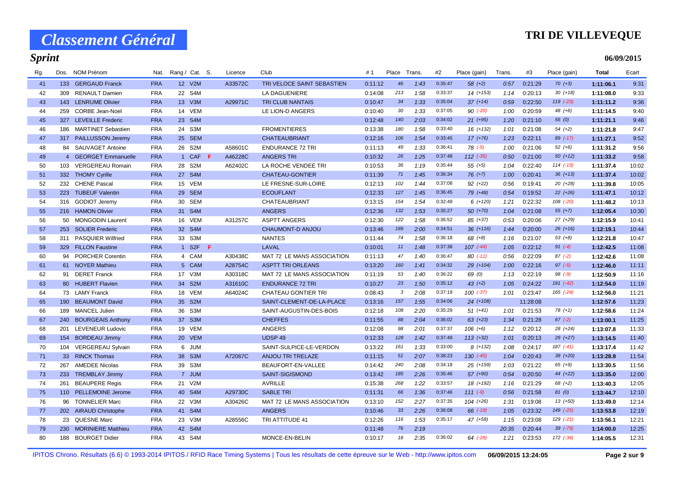# **TRI DE VILLEVEQUE**

| Rg. | Dos. | NOM Prénom                | Nat.       | Rang / Cat. S.  |                  |    | Licence | Club                       | #1      | Place        | Trans. | #2      | Place (gain)  | Trans. | #3       | Place (gain)  | <b>Total</b> | Ecart |
|-----|------|---------------------------|------------|-----------------|------------------|----|---------|----------------------------|---------|--------------|--------|---------|---------------|--------|----------|---------------|--------------|-------|
| 41  |      | 133 GERGAUD Franck        | <b>FRA</b> |                 | 12 V2M           |    | A33572C | TRI VELOCE SAINT SEBASTIEN | 0:11:12 | 46           | 1:43   | 0:35:47 | $58(+2)$      | 0:57   | 0:21:29  | $70(+3)$      | 1:11:06.1    | 9:31  |
| 42  | 309  | <b>RENAULT Damien</b>     | <b>FRA</b> |                 | 22 S4M           |    |         | <b>LA DAGUENIERE</b>       | 0:14:08 | 213          | 1:58   | 0:33:37 | $14(+153)$    | 1:14   | 0:20:13  | $30(+18)$     | 1:11:08.0    | 9:33  |
| 43  |      | 143 LENRUME Olivier       | <b>FRA</b> |                 | 13 V3M           |    | A29971C | <b>TRI CLUB NANTAIS</b>    | 0:10:47 | 34           | 1:33   | 0:35:04 | $37 (+14)$    | 0:59   | 0:22:50  | $119$ $(-23)$ | 1:11:11.2    | 9:36  |
| 44  | 259  | <b>CORBE Jean-Noel</b>    | <b>FRA</b> |                 | 14 VEM           |    |         | LE LION-D ANGERS           | 0:10:40 | 30           | 1:33   | 0:37:05 | $90 (-20)$    | 1:00   | 0:20:59  | 48 (+6)       | 1:11:14.5    | 9:40  |
| 45  | 327  | <b>LEVEILLE Frederic</b>  | <b>FRA</b> | 23 <sup>2</sup> | S <sub>4</sub> M |    |         |                            | 0:12:48 | 140          | 2:03   | 0:34:02 | $21 (+95)$    | 1:20   | 0:21:10  | 56 (0)        | 1:11:21.1    | 9:46  |
| 46  | 186  | <b>MARTINET Sebastien</b> | <b>FRA</b> |                 | 24 S3M           |    |         | <b>FROMENTIERES</b>        | 0:13:38 | 180          | 1:58   | 0:33:40 | $16 (+132)$   | 1:01   | 0:21:08  | $54(+2)$      | 1:11:21.8    | 9:47  |
| 47  |      | 317 PAILLUSSON Jeremy     | <b>FRA</b> |                 | 25 SEM           |    |         | <b>CHATEAUBRIANT</b>       | 0:12:16 | 106          | 1:54   | 0:33:45 | $17 (+76)$    | 1:23   | 0:22:11  | 89 (-17)      | 1:11:27.1    | 9:52  |
| 48  |      | 84 SAUVAGET Antoine       | <b>FRA</b> |                 | 26 S2M           |    | A58601C | <b>ENDURANCE 72 TRI</b>    | 0:11:13 | 49           | 1:33   | 0:36:41 | $78$ $(-5)$   | 1:00   | 0:21:06  | $52(+6)$      | 1:11:31.2    | 9:56  |
| 49  |      | 4 GEORGET Emmanuelle      | <b>FRA</b> |                 | 1 CAF            | F. | A46228C | <b>ANGERS TRI</b>          | 0:10:32 | 26           | 1:25   | 0:37:48 | $112$ $(-35)$ | 0:50   | 0:21:00  | $50(+12)$     | 1:11:33.2    | 9:58  |
| 50  | 103  | VERGEREAU Romain          | <b>FRA</b> | 28              | S2M              |    | A62402C | LA ROCHE VENDEE TRI        | 0:10:53 | 36           | 1:19   | 0:35:44 | $55(+5)$      | 1:04   | 0:22:40  | $114$ $(-19)$ | 1:11:37.4    | 10:02 |
| 51  |      | 332 THOMY Cyrille         | <b>FRA</b> |                 | 27 S4M           |    |         | <b>CHATEAU-GONTIER</b>     | 0:11:39 | 71           | 1:45   | 0:36:34 | $76 (+7)$     | 1:00   | 0:20:41  | $36 (+13)$    | 1:11:37.4    | 10:02 |
| 52  |      | 232 CHENE Pascal          | <b>FRA</b> |                 | 15 VEM           |    |         | LE FRESNE-SUR-LOIRE        | 0:12:13 | 102          | 1:44   | 0:37:08 | 92 (+22)      | 0:56   | 0:19:41  | $20(+28)$     | 1:11:39.8    | 10:05 |
| 53  |      | 223 TUBEUF Valentin       | <b>FRA</b> |                 | 29 SEM           |    |         | <b>ECOUFLANT</b>           | 0:12:33 | 127          | 1:45   | 0:36:45 | 79 (+48)      | 0:54   | 0:19:52  | $22(+26)$     | 1:11:47.1    | 10:12 |
| 54  |      | 316 GODIOT Jeremy         | <b>FRA</b> | 30              | <b>SEM</b>       |    |         | <b>CHATEAUBRIANT</b>       | 0:13:15 | 154          | 1:54   | 0:32:49 | $6(+120)$     | 1:21   | 0:22:32  | 108 (-20)     | 1:11:48.2    | 10:13 |
| 55  |      | 216 HAMON Olivier         | <b>FRA</b> |                 | 31 S4M           |    |         | <b>ANGERS</b>              | 0:12:36 | 132          | 1:53   | 0:35:27 | $50(+70)$     | 1:04   | 0:21:08  | $55(+7)$      | 1:12:05.4    | 10:30 |
| 56  |      | 50 MONGODIN Laurent       | <b>FRA</b> |                 | 16 VEM           |    | A31257C | <b>ASPTT ANGERS</b>        | 0:12:30 | 122          | 1:58   | 0:36:52 | 85 (+37)      | 0:53   | 0:20:06  | 27 (+29)      | 1:12:15.9    | 10:41 |
| 57  | 253  | <b>SOLIER Frederic</b>    | <b>FRA</b> |                 | 32 S4M           |    |         | CHAUMONT-D ANJOU           | 0:13:46 | 189          | 2:00   | 0:34:51 | $36 (+116)$   | 1:44   | 0:20:00  | $26 (+16)$    | 1:12:19.1    | 10:44 |
| 58  |      | 311 PASQUIER Wilfried     | <b>FRA</b> |                 | 33 S3M           |    |         | <b>NANTES</b>              | 0:11:44 | 74           | 1:58   | 0:36:18 | $68 (+8)$     | 1:16   | 0:21:07  | $53(+8)$      | 1:12:21.8    | 10:47 |
| 59  |      | 329 FILLON Faustine       | <b>FRA</b> |                 | 1 S2F            | F. |         | LAVAL                      | 0:10:01 | 11           | 1:48   | 0:37:38 | $107$ $(-44)$ | 1:05   | 0:22:12  | $91 (-4)$     | 1:12:42.5    | 11:08 |
| 60  | 94   | <b>PORCHER Corentin</b>   | <b>FRA</b> |                 | 4 CAM            |    | A30438C | MAT 72 LE MANS ASSOCIATION | 0:11:13 | 47           | 1:40   | 0:36:47 | $80( -11)$    | 0:56   | 0:22:09  | $87(-2)$      | 1:12:42.6    | 11:08 |
| 61  |      | 61 NOYER Mathieu          | <b>FRA</b> |                 | 5 CAM            |    | A28754C | <b>ASPTT TRI ORLEANS</b>   | 0:13:20 | 160          | 1:41   | 0:34:32 | 29 (+104)     | 1:00   | 0:22:16  | $97 (-5)$     | 1:12:46.0    | 11:11 |
| 62  | 91   | <b>DERET Franck</b>       | <b>FRA</b> |                 | 17 V3M           |    | A30318C | MAT 72 LE MANS ASSOCIATION | 0:11:19 | 53           | 1:40   | 0:36:22 | 69 (0)        | 1:13   | 0:22:19  | $98 (-9)$     | 1:12:50.9    | 11:16 |
| 63  |      | 80 HUBERT Flavien         | <b>FRA</b> |                 | 34 S2M           |    | A31610C | <b>ENDURANCE 72 TRI</b>    | 0:10:27 | 23           | 1:50   | 0:35:12 | $43 (+2)$     | 1:05   | 0:24:22  | 191 (-42)     | 1:12:54.0    | 11:19 |
| 64  |      | 73 LAMY Franck            | <b>FRA</b> |                 | 18 VEM           |    | A64024C | <b>CHATEAU GONTIER TRI</b> | 0:08:43 | $\mathbf{3}$ | 2:08   | 0:37:19 | $100(-37)$    | 1:01   | 0:23:47  | 165 (-24)     | 1:12:56.0    | 11:21 |
| 65  | 190  | <b>BEAUMONT David</b>     | <b>FRA</b> |                 | 35 S2M           |    |         | SAINT-CLEMENT-DE-LA-PLACE  | 0:13:16 | 157          | 1:55   | 0:34:06 | $24$ (+108)   |        | 11:28:08 |               | 1:12:57.6    | 11:23 |
| 66  | 189  | MANCEL Julien             | <b>FRA</b> | 36              | S3M              |    |         | SAINT-AUGUSTIN-DES-BOIS    | 0:12:18 | 108          | 2:20   | 0:35:29 | $51 (+41)$    | 1:01   | 0:21:53  | $78(+1)$      | 1:12:58.6    | 11:24 |
| 67  | 240  | <b>BOURGEAIS Anthony</b>  | <b>FRA</b> |                 | 37 S3M           |    |         | <b>CHEFFES</b>             | 0:11:55 | 88           | 2:04   | 0:36:02 | $63 (+23)$    | 1:34   | 0:21:28  | $67 (-2)$     | 1:13:00.1    | 11:25 |
| 68  |      | 201 LEVENEUR Ludovic      | <b>FRA</b> |                 | 19 VEM           |    |         | ANGERS                     | 0:12:08 | 98           | 2:01   | 0:37:37 | $106 (+6)$    | 1:12   | 0:20:12  | 28 (+24)      | 1:13:07.8    | 11:33 |
| 69  | 154  | <b>BORDEAU Jimmy</b>      | <b>FRA</b> |                 | 20 VEM           |    |         | UDSP <sub>49</sub>         | 0:12:33 | 128          | 1:42   | 0:37:49 | $113 (+32)$   | 1:01   | 0:20:13  | 29 (+27)      | 1:13:14.5    | 11:40 |
| 70  | 104  | <b>VERGEREAU Sylvain</b>  | <b>FRA</b> |                 | 6 JUM            |    |         | SAINT-SULPICE-LE-VERDON    | 0:13:22 | 161          | 1:33   | 0:33:00 | $8(+132)$     | 1:08   | 0:24:17  | 187 (-41)     | 1:13:17.4    | 11:42 |
| 71  |      | 33 RINCK Thomas           | <b>FRA</b> |                 | 38 S3M           |    | A72067C | <b>ANJOU TRI TRELAZE</b>   | 0:11:15 | 51           | 2:07   | 0:38:23 | $130(-40)$    | 1:04   | 0:20:43  | 38 (+20)      | 1:13:28.9    | 11:54 |
| 72  | 267  | AMEDEE Nicolas            | <b>FRA</b> |                 | 39 S3M           |    |         | BEAUFORT-EN-VALLEE         | 0:14:42 | 240          | 2:08   | 0:34:18 | $25$ (+159)   | 1:03   | 0:21:22  | 65 (+9)       | 1:13:30.5    | 11:56 |
| 73  |      | 233 TREMBLAY Jimmy        | <b>FRA</b> |                 | 7 JUM            |    |         | SAINT-SIGISMOND            | 0:13:42 | 185          | 2:26   | 0:35:46 | $57$ (+90)    | 0:54   | 0:20:50  | 44 (+22)      | 1:13:35.0    | 12:00 |
| 74  | 261  | <b>BEAUPERE Regis</b>     | <b>FRA</b> |                 | 21 V2M           |    |         | <b>AVRILLE</b>             | 0:15:38 | 268          | 1:22   | 0:33:57 | 18 (+192)     | 1:16   | 0:21:29  | 68 (+2)       | 1:13:40.3    | 12:05 |
| 75  |      | 110 PELLEMOINE Jerome     | <b>FRA</b> |                 | 40 S4M           |    | A29730C | <b>SABLE TRI</b>           | 0:11:31 | 66           | 1:36   | 0:37:46 | $111 (-9)$    | 0:56   | 0:21:58  | 81(0)         | 1:13:44.7    | 12:10 |
| 76  | 96   | <b>TONNELIER Marc</b>     | <b>FRA</b> |                 | 22 V3M           |    | A30426C | MAT 72 LE MANS ASSOCIATION | 0:13:10 | 152          | 2:27   | 0:37:35 | $104$ $(+26)$ | 1:31   | 0:19:08  | $13(+50)$     | 1:13:49.0    | 12:14 |
| 77  |      | 202 AIRAUD Christophe     | <b>FRA</b> |                 | 41 S4M           |    |         | <b>ANGERS</b>              | 0:10:46 | 33           | 2:26   | 0:36:08 | $66$ $(-19)$  | 1:05   | 0:23:32  | 149 (-25)     | 1:13:53.8    | 12:19 |
| 78  |      | 23 QUESNE Marc            | <b>FRA</b> |                 | 23 V3M           |    | A28556C | TRI ATTITUDE 41            | 0:12:26 | 116          | 1:53   | 0:35:17 | 47 (+59)      | 1:15   | 0:23:08  | 129 (-21)     | 1:13:56.1    | 12:21 |
| 79  | 230  | <b>MORINIERE Matthieu</b> | <b>FRA</b> |                 | 42 S4M           |    |         |                            | 0:11:48 | 76           | 2:19   |         |               | 20:35  | 0:20:44  | $39$ $(-79)$  | 1:14:00.0    | 12:25 |
| 80  | 188  | <b>BOURGET Didier</b>     | <b>FRA</b> |                 | 43 S4M           |    |         | MONCE-EN-BELIN             | 0:10:17 | 18           | 2:35   | 0:36:02 | $64$ $(-28)$  | 1:21   | 0:23:53  | 172 (-34)     | 1:14:05.5    | 12:31 |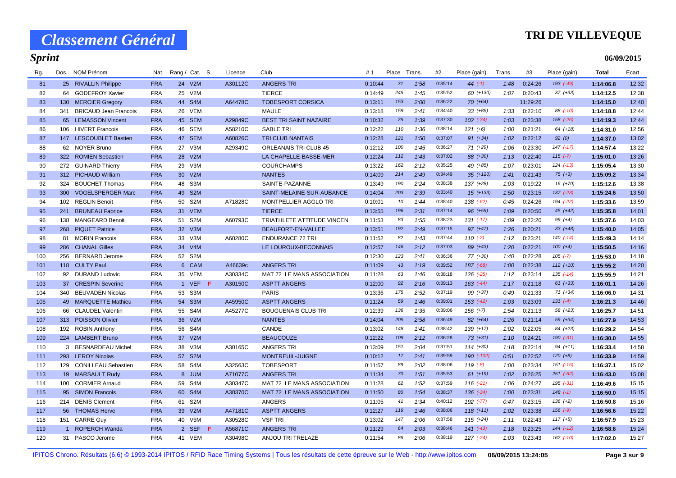### **TRI DE VILLEVEQUE**

**06/09/2015**

| Rg. | Dos. | NOM Prénom                   | Nat.       | Rang / Cat. S. | Licence | Club                          | #1      | Place | Trans. | #2      | Place (gain)  | Trans. | #3       | Place (gain)  | Total     | Ecart |
|-----|------|------------------------------|------------|----------------|---------|-------------------------------|---------|-------|--------|---------|---------------|--------|----------|---------------|-----------|-------|
| 81  |      | 25 RIVALLIN Philippe         | <b>FRA</b> | 24 V2M         | A30112C | <b>ANGERS TRI</b>             | 0:10:44 | 31    | 1:58   | 0:35:14 | $44 (-1)$     | 1:48   | 0:24:26  | 193 (-49)     | 1:14:06.8 | 12:32 |
| 82  | 64   | <b>GODEFROY Xavier</b>       | <b>FRA</b> | 25 V2M         |         | <b>TIERCE</b>                 | 0:14:49 | 245   | 1:45   | 0:35:52 | 60 (+130)     | 1:07   | 0:20:43  | $37 (+33)$    | 1:14:12.5 | 12:38 |
| 83  | 130  | <b>MERCIER Gregory</b>       | <b>FRA</b> | 44 S4M         | A64478C | <b>TOBESPORT CORSICA</b>      | 0:13:11 | 153   | 2:00   | 0:36:22 | $70(+64)$     |        | 11:29:26 |               | 1:14:15.0 | 12:40 |
| 84  | 341  | <b>BRICAUD Jean Francois</b> | <b>FRA</b> | 26 VEM         |         | <b>MAULE</b>                  | 0:13:18 | 159   | 2:41   | 0:34:40 | $33 (+85)$    | 1:33   | 0:22:10  | 88 (-10)      | 1:14:18.8 | 12:44 |
| 85  |      | 65 LEMASSON Vincent          | <b>FRA</b> | 45 SEM         | A29849C | <b>BEST TRI SAINT NAZAIRE</b> | 0:10:32 | 25    | 1:39   | 0:37:30 | $102$ $(-34)$ | 1:03   | 0:23:38  | $158$ $(-26)$ | 1:14:19.3 | 12:44 |
| 86  | 106  | <b>HIVERT Francois</b>       | <b>FRA</b> | 46 SEM         | A58210C | <b>SABLE TRI</b>              | 0:12:22 | 110   | 1:36   | 0:38:14 | $121 (+6)$    | 1:00   | 0:21:21  | $64 (+18)$    | 1:14:31.0 | 12:56 |
| 87  | 147  | <b>LESCOUBLET Bastien</b>    | <b>FRA</b> | 47 SEM         | A60826C | TRI CLUB NANTAIS              | 0:12:28 | 121   | 1:50   | 0:37:07 | 91 (+34)      | 1:02   | 0:22:12  | 92(0)         | 1:14:37.0 | 13:02 |
| 88  |      | 62 NOYER Bruno               | <b>FRA</b> | 27 V3M         | A29349C | <b>ORLEANAIS TRI CLUB 45</b>  | 0:12:12 | 100   | 1:45   | 0:36:27 | $71(+29)$     | 1:06   | 0:23:30  | $147$ $(-17)$ | 1:14:57.4 | 13:22 |
| 89  | 322  | <b>ROMIEN Sebastien</b>      | <b>FRA</b> | 28 V2M         |         | LA CHAPELLE-BASSE-MER         | 0:12:24 | 112   | 1:43   | 0:37:02 | 88 (+30)      | 1:13   | 0:22:40  | $115(-7)$     | 1:15:01.0 | 13:26 |
| 90  | 272  | <b>GUINARD Thierry</b>       | <b>FRA</b> | 29 V3M         |         | <b>COURCHAMPS</b>             | 0:13:22 | 162   | 2:12   | 0:35:25 | 49 (+85)      | 1:07   | 0:23:01  | $124$ $(-13)$ | 1:15:05.4 | 13:30 |
| 91  |      | 312 PICHAUD William          | <b>FRA</b> | 30 V2M         |         | <b>NANTES</b>                 | 0:14:09 | 214   | 2:49   | 0:34:49 | $35 (+120)$   | 1:41   | 0:21:43  | $75 (+3)$     | 1:15:09.2 | 13:34 |
| 92  | 324  | <b>BOUCHET Thomas</b>        | <b>FRA</b> | 48 S3M         |         | SAINTE-PAZANNE                | 0:13:49 | 190   | 2:24   | 0:38:38 | 137 (+28)     | 1:03   | 0:19:22  | $16 (+70)$    | 1:15:12.6 | 13:38 |
| 93  | 300  | <b>VOGELSPERGER Marc</b>     | <b>FRA</b> | 49 S2M         |         | SAINT-MELAINE-SUR-AUBANCE     | 0:14:04 | 203   | 2:39   | 0:33:40 | $15$ (+133)   | 1:50   | 0:23:15  | $137$ $(-23)$ | 1:15:24.6 | 13:50 |
| 94  | 102  | <b>REGLIN Benoit</b>         | <b>FRA</b> | 50 S2M         | A71828C | MONTPELLIER AGGLO TRI         | 0:10:01 | 10    | 1:44   | 0:38:40 | 138 (-62)     | 0:45   | 0:24:26  | 194 (-22)     | 1:15:33.6 | 13:59 |
| 95  | 241  | <b>BRUNEAU Fabrice</b>       | <b>FRA</b> | 31 VEM         |         | <b>TIERCE</b>                 | 0:13:55 | 196   | 2:31   | 0:37:14 | 96 (+59)      | 1:09   | 0:20:50  | $45 (+42)$    | 1:15:35.8 | 14:01 |
| 96  | 138  | <b>MANGEARD Benoit</b>       | <b>FRA</b> | 51 S2M         | A60793C | TRIATHLETE ATTITUDE VINCEN    | 0:11:53 | 83    | 1:55   | 0:38:23 | $131( -17)$   | 1:09   | 0:22:20  | $99 (+4)$     | 1:15:37.6 | 14:03 |
| 97  | 268  | <b>PIQUET Patrice</b>        | <b>FRA</b> | 32 V3M         |         | BEAUFORT-EN-VALLEE            | 0:13:51 | 192   | 2:49   | 0:37:15 | $97 (+47)$    | 1:26   | 0:20:21  | $33 (+48)$    | 1:15:40.0 | 14:05 |
| 98  | 81   | <b>MORIN Francois</b>        | <b>FRA</b> | 33 V3M         | A60280C | <b>ENDURANCE 72 TRI</b>       | 0:11:52 | 82    | 1:43   | 0:37:44 | $110(-2)$     | 1:12   | 0:23:21  | $140(-14)$    | 1:15:49.3 | 14:14 |
| 99  | 286  | <b>CHANAL Gilles</b>         | <b>FRA</b> | 34 V4M         |         | LE LOUROUX-BECONNAIS          | 0:12:57 | 146   | 2:12   | 0:37:03 | 89 (+43)      | 1:20   | 0:22:21  | $100 (+4)$    | 1:15:50.5 | 14:16 |
| 100 | 256  | <b>BERNARD Jerome</b>        | <b>FRA</b> | 52 S2M         |         |                               | 0:12:30 | 123   | 2:41   | 0:36:36 | 77 (+30)      | 1:40   | 0:22:28  | $105$ $(-7)$  | 1:15:53.0 | 14:18 |
| 101 |      | 118 CULTY Paul               | <b>FRA</b> | 6 CAM          | A46639c | <b>ANGERS TRI</b>             | 0:11:09 | 43    | 1:19   | 0:39:52 | 187 (-68)     | 1:00   | 0:22:38  | $112 (+10)$   | 1:15:55.2 | 14:20 |
| 102 | 92   | <b>DURAND Ludovic</b>        | <b>FRA</b> | 35 VEM         | A30334C | MAT 72 LE MANS ASSOCIATION    | 0:11:28 | 63    | 1:46   | 0:38:18 | 126 (-25)     | 1:12   | 0:23:14  | $135$ $(-14)$ | 1:15:55.9 | 14:21 |
| 103 | 37   | <b>CRESPIN Severine</b>      | <b>FRA</b> | 1 VEF $F$      | A30150C | <b>ASPTT ANGERS</b>           | 0:12:00 | 92    | 2:16   | 0:39:13 | $163$ $(-44)$ | 1:17   | 0:21:18  | $61 (+33)$    | 1:16:01.1 | 14:26 |
| 104 | 340  | <b>BEUVADEN Nicolas</b>      | <b>FRA</b> | 53 S3M         |         | <b>PARIS</b>                  | 0:13:36 | 175   | 2:52   | 0:37:19 | 99 (+37)      | 0:49   | 0:21:33  | $71 (+34)$    | 1:16:06.0 | 14:31 |
| 105 | 49   | <b>MARQUETTE Mathieu</b>     | <b>FRA</b> | 54 S3M         | A45950C | <b>ASPTT ANGERS</b>           | 0:11:24 | 59    | 1:46   | 0:39:01 | $153$ $(-42)$ | 1:03   | 0:23:09  | $131 (-4)$    | 1:16:21.3 | 14:46 |
| 106 | 66   | <b>CLAUDEL Valentin</b>      | <b>FRA</b> | 55 S4M         | A45277C | <b>BOUGUENAIS CLUB TRI</b>    | 0:12:39 | 136   | 1:35   | 0:39:06 | $156 (+7)$    | 1:54   | 0:21:13  | 58 (+23)      | 1:16:25.7 | 14:51 |
| 107 | 313  | <b>POISSON Olivier</b>       | <b>FRA</b> | 36 V2M         |         | <b>NANTES</b>                 | 0:14:04 | 205   | 2:58   | 0:36:49 | 82 (+64)      | 1:26   | 0:21:14  | $59(+34)$     | 1:16:27.9 | 14:53 |
| 108 | 192  | <b>ROBIN Anthony</b>         | <b>FRA</b> | 56 S4M         |         | CANDE                         | 0:13:02 | 148   | 1:41   | 0:38:42 | 139 (+17)     | 1:02   | 0:22:05  | 84 (+23)      | 1:16:29.2 | 14:54 |
| 109 |      | 224 LAMBERT Bruno            | <b>FRA</b> | 37 V2M         |         | <b>BEAUCOUZE</b>              | 0:12:22 | 109   | 2:12   | 0:36:28 | $73(+31)$     | 1:10   | 0:24:21  | $190 (-31)$   | 1:16:30.0 | 14:55 |
| 110 |      | 3 BESNARDEAU Michel          | <b>FRA</b> | 38 V3M         | A30165C | <b>ANGERS TRI</b>             | 0:13:09 | 151   | 2:04   | 0:37:51 | $114 (+30)$   | 1:18   | 0:22:14  | $94 (+11)$    | 1:16:33.4 | 14:58 |
| 111 | 293  | <b>LEROY Nicolas</b>         | <b>FRA</b> | 57 S2M         |         | MONTREUIL-JUIGNE              | 0:10:12 | 17    | 2:41   | 0:39:59 | 190 (-102)    | 0:51   | 0:22:52  | $120 (+8)$    | 1:16:33.9 | 14:59 |
| 112 | 129  | <b>CONILLEAU Sebastien</b>   | <b>FRA</b> | 58 S4M         | A32563C | <b>TOBESPORT</b>              | 0:11:57 | 89    | 2:02   | 0:38:06 | $119(-8)$     | 1:00   | 0:23:34  | $151$ $(-15)$ | 1:16:37.1 | 15:02 |
| 113 |      | 19 MARSAULT Rudy             | <b>FRA</b> | 8 JUM          | A71077C | <b>ANGERS TRI</b>             | 0:11:34 | 70    | 1:51   | 0:35:53 | $61 (+19)$    | 1:02   | 0:26:25  | $251 (-62)$   | 1:16:43.0 | 15:08 |
| 114 | 100  | <b>CORMIER Arnaud</b>        | <b>FRA</b> | 59 S4M         | A30347C | MAT 72 LE MANS ASSOCIATION    | 0:11:28 | 62    | 1:52   | 0:37:59 | $116$ $(-21)$ | 1:06   | 0:24:27  | 195 (-31)     | 1:16:49.6 | 15:15 |
| 115 | 95   | <b>SIMON Francois</b>        | <b>FRA</b> | 60 S4M         | A30370C | MAT 72 LE MANS ASSOCIATION    | 0:11:50 | 80    | 1:54   | 0:38:37 | $136$ $(-34)$ | 1:00   | 0:23:31  | $148$ $(-1)$  | 1:16:50.0 | 15:15 |
| 116 | 214  | <b>DENIS Clement</b>         | <b>FRA</b> | 61 S2M         |         | <b>ANGERS</b>                 | 0:11:05 | 41    | 1:34   | 0:40:12 | 192 (-77)     | 0:47   | 0:23:15  | $136 (+2)$    | 1:16:50.8 | 15:16 |
| 117 | 56   | <b>THOMAS Herve</b>          | <b>FRA</b> | 39 V2M         | A47181C | <b>ASPTT ANGERS</b>           | 0:12:27 | 119   | 1:46   | 0:38:06 | $118 (+11)$   | 1:02   | 0:23:38  | $156$ $(-9)$  | 1:16:56.6 | 15:22 |
| 118 | 151  | <b>CARRE Guy</b>             | <b>FRA</b> | 40 V5M         | A30528C | <b>VSF TRI</b>                | 0:13:02 | 147   | 2:06   | 0:37:58 | $115 (+24)$   | 1:11   | 0:22:43  | $117 (+5)$    | 1:16:57.9 | 15:23 |
| 119 |      | 1 ROPERCH Wanda              | <b>FRA</b> | 2 SEF F        | A56871C | <b>ANGERS TRI</b>             | 0:11:29 | 64    | 2:03   | 0:38:46 | $141 (-43)$   | 1:18   | 0:23:25  | $144$ $(-12)$ | 1:16:58.6 | 15:24 |
| 120 | 31   | PASCO Jerome                 | <b>FRA</b> | 41 VEM         | A30498C | ANJOU TRI TRELAZE             | 0:11:54 | 86    | 2:06   | 0:38:19 | $127$ $(-24)$ | 1:03   | 0:23:43  | $162$ $(-10)$ | 1:17:02.0 | 15:27 |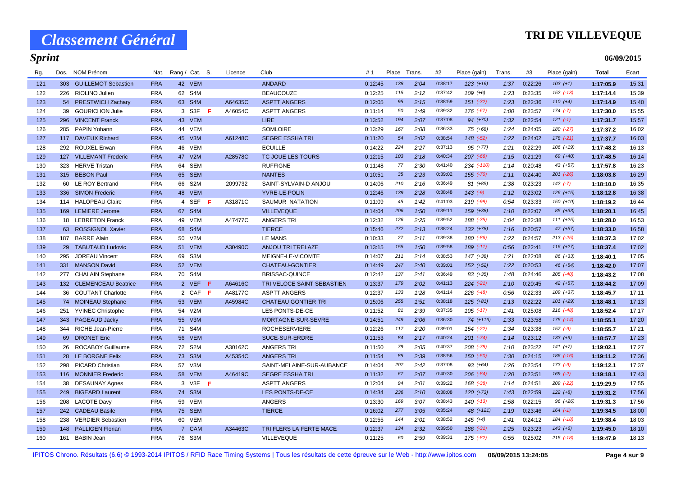### **TRI DE VILLEVEQUE**

**06/09/2015**

| Rg. | Dos. | <b>NOM Prénom</b>         | Nat.       |    | Rang / Cat. S. |       | Licence | Club                       | #1      | Place | Trans. | #2      | Place (gain)  | Trans. | #3      | Place (gain)  | <b>Total</b> | Ecart |
|-----|------|---------------------------|------------|----|----------------|-------|---------|----------------------------|---------|-------|--------|---------|---------------|--------|---------|---------------|--------------|-------|
| 121 |      | 303 GUILLEMOT Sebastien   | <b>FRA</b> |    | 42 VEM         |       |         | <b>ANDARD</b>              | 0:12:45 | 138   | 2:04   | 0:38:17 | $123 (+16)$   | 1:37   | 0:22:26 | $103 (+1)$    | 1:17:05.9    | 15:31 |
| 122 | 226  | RIOLINO Julien            | <b>FRA</b> |    | 62 S4M         |       |         | <b>BEAUCOUZE</b>           | 0:12:25 | 115   | 2:12   | 0:37:42 | $109 (+6)$    | 1:23   | 0:23:35 | $152$ $(-13)$ | 1:17:14.4    | 15:39 |
| 123 |      | 54 PRESTWICH Zachary      | <b>FRA</b> |    | 63 S4M         |       | A64635C | <b>ASPTT ANGERS</b>        | 0:12:05 | 95    | 2:15   | 0:38:59 | $151$ $(-32)$ | 1:23   | 0:22:36 | $110 (+4)$    | 1:17:14.9    | 15:40 |
| 124 | 39   | <b>GOURICHON Julie</b>    | <b>FRA</b> |    | 3 S3F          | Æ.    | A46054C | <b>ASPTT ANGERS</b>        | 0:11:14 | 50    | 1:49   | 0:39:32 | 176 (-67)     | 1:00   | 0:23:57 | $174 (-7)$    | 1:17:30.0    | 15:55 |
| 125 | 296  | <b>VINCENT Franck</b>     | <b>FRA</b> |    | 43 VEM         |       |         | <b>LIRE</b>                | 0:13:52 | 194   | 2:07   | 0:37:08 | 94 (+70)      | 1:32   | 0:22:54 | $121 (-1)$    | 1:17:31.7    | 15:57 |
| 126 | 285  | <b>PAPIN Yohann</b>       | <b>FRA</b> |    | 44 VEM         |       |         | <b>SOMLOIRE</b>            | 0:13:29 | 167   | 2:08   | 0:36:33 | 75 (+68)      | 1:24   | 0:24:05 | 180 (-27)     | 1:17:37.2    | 16:02 |
| 127 | 117  | <b>DAVEUX Richard</b>     | <b>FRA</b> | 45 | V3M            |       | A61248C | <b>SEGRE ESSHA TRI</b>     | 0:11:20 | 54    | 2:02   | 0:38:54 | 148 (-52)     | 1:22   | 0:24:02 | $178$ $(-21)$ | 1:17:37.7    | 16:03 |
| 128 |      | 292 ROUXEL Erwan          | <b>FRA</b> |    | 46 VEM         |       |         | <b>ECUILLE</b>             | 0:14:22 | 224   | 2:27   | 0:37:13 | $95 (+77)$    | 1:21   | 0:22:29 | $106 (+19)$   | 1:17:48.2    | 16:13 |
| 129 | 127  | <b>VILLEMANT Frederic</b> | <b>FRA</b> |    | 47 V2M         |       | A28578C | TC JOUE LES TOURS          | 0:12:15 | 103   | 2:18   | 0:40:34 | $207$ $(-66)$ | 1:15   | 0:21:29 | 69 (+40)      | 1:17:48.5    | 16:14 |
| 130 | 323  | <b>HERVE Tristan</b>      | <b>FRA</b> |    | 64 SEM         |       |         | <b>RUFFIGNE</b>            | 0:11:48 | 77    | 2:30   | 0:41:40 | 234 (-110)    | 1:14   | 0:20:48 | $43 (+57)$    | 1:17:57.8    | 16:23 |
| 131 |      | 315 BEBON Paul            | <b>FRA</b> |    | 65 SEM         |       |         | <b>NANTES</b>              | 0:10:51 | 35    | 2:23   | 0:39:02 | $155 (-70)$   | 1:11   | 0:24:40 | $201$ $(-26)$ | 1:18:03.8    | 16:29 |
| 132 |      | 60 LE ROY Bertrand        | <b>FRA</b> |    | 66 S2M         |       | 2099732 | SAINT-SYLVAIN-D ANJOU      | 0:14:06 | 210   | 2:16   | 0:36:49 | 81 (+85)      | 1:38   | 0:23:23 | $142 (-7)$    | 1:18:10.0    | 16:35 |
| 133 |      | 336 SIMON Frederic        | <b>FRA</b> |    | 48 VEM         |       |         | <b>YVRE-LE-POLIN</b>       | 0:12:46 | 139   | 2:28   | 0:38:48 | $143$ $(-9)$  | 1:12   | 0:23:02 | $126 (+15)$   | 1:18:12.8    | 16:38 |
| 134 |      | 114 HALOPEAU Claire       | <b>FRA</b> |    | 4 SEF          | -F    | A31871C | SAUMUR NATATION            | 0:11:09 | 45    | 1:42   | 0:41:03 | $219$ (-99)   | 0:54   | 0:23:33 | $150(+10)$    | 1:18:19.2    | 16:44 |
| 135 | 169  | <b>LEMIERE</b> Jerome     | <b>FRA</b> |    | 67 S4M         |       |         | <b>VILLEVEQUE</b>          | 0:14:04 | 206   | 1:50   | 0:39:11 | $159 (+38)$   | 1:10   | 0:22:07 | $85 (+33)$    | 1:18:20.1    | 16:45 |
| 136 |      | 18 LEBRETON Franck        | <b>FRA</b> |    | 49 VEM         |       | A47477C | <b>ANGERS TRI</b>          | 0:12:32 | 126   | 2:25   | 0:39:52 | 188 (-35)     | 1:04   | 0:22:38 | $111 (+25)$   | 1:18:28.0    | 16:53 |
| 137 |      | 63 ROSSIGNOL Xavier       | <b>FRA</b> |    | 68 S4M         |       |         | <b>TIERCE</b>              | 0:15:46 | 272   | 2:13   | 0:38:24 | $132 (+78)$   | 1:16   | 0:20:57 | $47 (+57)$    | 1:18:33.0    | 16:58 |
| 138 | 187  | <b>BARRE Alain</b>        | <b>FRA</b> |    | 50 V2M         |       |         | <b>LE MANS</b>             | 0:10:33 | 27    | 2:11   | 0:39:38 | 180 (-86)     | 1:22   | 0:24:57 | $213$ $(-25)$ | 1:18:37.3    | 17:02 |
| 139 |      | 29 TABUTAUD Ludovic       | <b>FRA</b> |    | 51 VEM         |       | A30490C | <b>ANJOU TRI TRELAZE</b>   | 0:13:15 | 155   | 1:50   | 0:39:58 | $189$ $(-11)$ | 0:56   | 0:22:41 | $116 (+27)$   | 1:18:37.4    | 17:02 |
| 140 | 295  | <b>JOREAU Vincent</b>     | <b>FRA</b> | 69 | S3M            |       |         | MEIGNE-LE-VICOMTE          | 0:14:07 | 211   | 2:14   | 0:38:53 | $147 (+38)$   | 1:21   | 0:22:08 | 86 (+33)      | 1:18:40.1    | 17:05 |
| 141 | 331  | <b>MANSON David</b>       | <b>FRA</b> |    | 52 VEM         |       |         | <b>CHATEAU-GONTIER</b>     | 0:14:49 | 247   | 2:40   | 0:39:01 | $152 (+52)$   | 1:22   | 0:20:53 | $46 (+54)$    | 1:18:42.0    | 17:07 |
| 142 |      | 277 CHALAIN Stephane      | <b>FRA</b> |    | 70 S4M         |       |         | <b>BRISSAC-QUINCE</b>      | 0:12:42 | 137   | 2:41   | 0:36:49 | $83 (+35)$    | 1:48   | 0:24:46 | $205$ $(-40)$ | 1:18:43.2    | 17:08 |
| 143 |      | 132 CLEMENCEAU Beatrice   | <b>FRA</b> |    | 2 VEF          | -F.   | A64616C | TRI VELOCE SAINT SEBASTIEN | 0:13:37 | 179   | 2:02   | 0:41:13 | $224 (-21)$   | 1:10   | 0:20:45 | $42 (+57)$    | 1:18:44.2    | 17:09 |
| 144 |      | 36 COUTANT Charlotte      | <b>FRA</b> |    | 2 CAF          | - F   | A48177C | <b>ASPTT ANGERS</b>        | 0:12:37 | 133   | 1:28   | 0:41:14 | $226$ $(-48)$ | 0:56   | 0:22:33 | $109 (+37)$   | 1:18:45.7    | 17:11 |
| 145 |      | 74 MOINEAU Stephane       | <b>FRA</b> |    | 53 VEM         |       | A45984C | <b>CHATEAU GONTIER TRI</b> | 0:15:06 | 255   | 1:51   | 0:38:18 | $125 (+81)$   | 1:13   | 0:22:22 | $101 (+29)$   | 1:18:48.1    | 17:13 |
| 146 | 251  | <b>YVINEC Christophe</b>  | <b>FRA</b> |    | 54 V2M         |       |         | LES PONTS-DE-CE            | 0:11:52 | 81    | 2:39   | 0:37:35 | $105$ $(-17)$ | 1:41   | 0:25:08 | $216$ $(-48)$ | 1:18:52.4    | 17:17 |
| 147 |      | 343 PAGEAUD Jacky         | <b>FRA</b> |    | 55 V3M         |       |         | MORTAGNE-SUR-SEVRE         | 0:14:51 | 249   | 2:06   | 0:36:30 | 74 (+116)     | 1:33   | 0:23:58 | $175$ $(-14)$ | 1:18:55.1    | 17:20 |
| 148 |      | 344 RICHE Jean-Pierre     | <b>FRA</b> |    | 71 S4M         |       |         | <b>ROCHESERVIERE</b>       | 0:12:26 | 117   | 2:20   | 0:39:01 | 154 (-22)     | 1:34   | 0:23:38 | $157$ $(-9)$  | 1:18:55.7    | 17:21 |
| 149 |      | 69 DRONET Eric            | <b>FRA</b> |    | 56 VEM         |       |         | <b>SUCE-SUR-ERDRE</b>      | 0:11:53 | 84    | 2:17   | 0:40:24 | $201 (-74)$   | 1:14   | 0:23:12 | $133 (+9)$    | 1:18:57.7    | 17:23 |
| 150 |      | 26 ROCABOY Guillaume      | <b>FRA</b> |    | 72 S2M         |       | A30162C | <b>ANGERS TRI</b>          | 0:11:50 | 79    | 2:05   | 0:40:37 | $208$ $(-78)$ | 1:10   | 0:23:22 | $141 (+7)$    | 1:19:02.1    | 17:27 |
| 151 |      | 28 LE BORGNE Felix        | <b>FRA</b> |    | 73 S3M         |       | A45354C | <b>ANGERS TRI</b>          | 0:11:54 | 85    | 2:39   | 0:38:56 | 150 (-50)     | 1:30   | 0:24:15 | 186 (-16)     | 1:19:11.2    | 17:36 |
| 152 | 298  | <b>PICARD Christian</b>   | <b>FRA</b> |    | 57 V3M         |       |         | SAINT-MELAINE-SUR-AUBANCE  | 0:14:04 | 207   | 2:42   | 0:37:08 | $93 (+64)$    | 1:26   | 0:23:54 | $173 (-9)$    | 1:19:12.1    | 17:37 |
| 153 |      | 116 MONNIER Frederic      | <b>FRA</b> |    | 58 VEM         |       | A46419C | <b>SEGRE ESSHA TRI</b>     | 0:11:32 | 67    | 2:07   | 0:40:30 | $206 (-84)$   | 1:20   | 0:23:51 | $169$ $(-2)$  | 1:19:18.1    | 17:43 |
| 154 |      | 38 DESAUNAY Agnes         | <b>FRA</b> |    | 3 V3F          | $-$ F |         | <b>ASPTT ANGERS</b>        | 0:12:04 | 94    | 2:01   | 0:39:22 | 168 (-38)     | 1:14   | 0:24:51 | $209$ $(-22)$ | 1:19:29.9    | 17:55 |
| 155 |      | 249 BIGEARD Laurent       | <b>FRA</b> |    | 74 S3M         |       |         | <b>LES PONTS-DE-CE</b>     | 0:14:34 | 236   | 2:10   | 0:38:08 | $120 (+73)$   | 1:43   | 0:22:59 | $122 (+8)$    | 1:19:31.2    | 17:56 |
| 156 | 208  | <b>LACOTE Davy</b>        | <b>FRA</b> |    | 59 VEM         |       |         | <b>ANGERS</b>              | 0:13:30 | 169   | 3:07   | 0:38:43 | $140$ $(-13)$ | 1:58   | 0:22:15 | 96 (+26)      | 1:19:31.3    | 17:56 |
| 157 |      | 242 CADEAU Basile         | <b>FRA</b> |    | 75 SEM         |       |         | <b>TIERCE</b>              | 0:16:02 | 277   | 3:05   | 0:35:24 | 48 (+121)     | 1:19   | 0:23:46 | $164 (-1)$    | 1:19:34.5    | 18:00 |
| 158 | 238  | <b>VERDIER Sebastien</b>  | <b>FRA</b> |    | 60 VEM         |       |         |                            | 0:12:55 | 144   | 2:01   | 0:38:52 | $145 (+4)$    | 1:41   | 0:24:12 | 184 (-18)     | 1:19:38.4    | 18:03 |
| 159 | 148  | <b>PALLIGEN Florian</b>   | <b>FRA</b> |    | 7 CAM          |       | A34463C | TRI FLERS LA FERTE MACE    | 0:12:37 | 134   | 2:32   | 0:39:50 | $186$ $(-31)$ | 1:25   | 0:23:23 | $143 (+6)$    | 1:19:45.0    | 18:10 |
| 160 |      | 161 BABIN Jean            | <b>FRA</b> |    | 76 S3M         |       |         | <b>VILLEVEQUE</b>          | 0:11:25 | 60    | 2:59   | 0:39:31 | 175 (-82)     | 0:55   | 0:25:02 | $215$ $(-18)$ | 1:19:47.9    | 18:13 |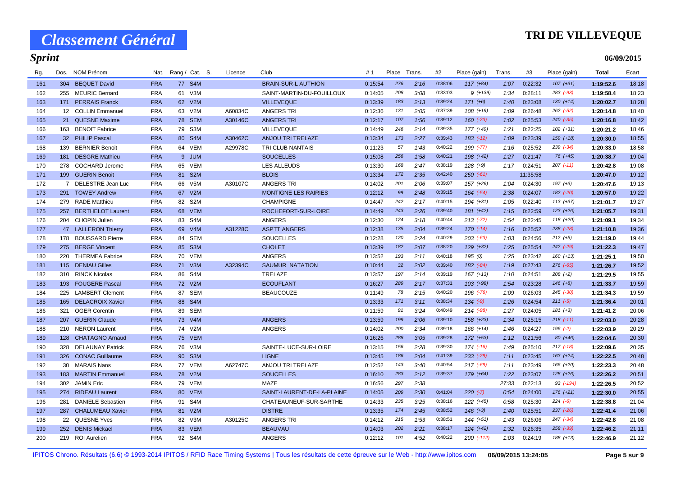### **TRI DE VILLEVEQUE**

| 06/09/2015 |
|------------|
|------------|

| Rg. | Dos. | <b>NOM Prénom</b>        | Nat.       |    | Rang / Cat. S. | Licence | Club                        | #1      | Place | Trans. | #2      | Place (gain)   | Trans. | #3       | Place (gain)  | <b>Total</b> | Ecart |
|-----|------|--------------------------|------------|----|----------------|---------|-----------------------------|---------|-------|--------|---------|----------------|--------|----------|---------------|--------------|-------|
| 161 |      | 304 BEQUET David         | <b>FRA</b> |    | 77 S4M         |         | <b>BRAIN-SUR-L AUTHION</b>  | 0:15:54 | 276   | 2:16   | 0:38:06 | $117 (+84)$    | 1:07   | 0:22:32  | $107 (+31)$   | 1:19:52.6    | 18:18 |
| 162 |      | 255 MEURIC Bernard       | <b>FRA</b> |    | 61 V3M         |         | SAINT-MARTIN-DU-FOUILLOUX   | 0:14:05 | 208   | 3:08   | 0:33:03 | $9(+139)$      | 1:34   | 0:28:11  | 283 (-93)     | 1:19:58.4    | 18:23 |
| 163 |      | 171 PERRAIS Franck       | <b>FRA</b> |    | 62 V2M         |         | <b>VILLEVEQUE</b>           | 0:13:39 | 183   | 2:13   | 0:39:24 | $171 (+6)$     | 1:40   | 0:23:08  | $130 (+14)$   | 1:20:02.7    | 18:28 |
| 164 |      | 12 COLLIN Emmanuel       | <b>FRA</b> |    | 63 V2M         | A60834C | <b>ANGERS TRI</b>           | 0:12:36 | 131   | 2:05   | 0:37:39 | $108 (+19)$    | 1:09   | 0:26:48  | $262 (-52)$   | 1:20:14.8    | 18:40 |
| 165 |      | 21 QUESNE Maxime         | <b>FRA</b> |    | 78 SEM         | A30146C | <b>ANGERS TRI</b>           | 0:12:17 | 107   | 1:56   | 0:39:12 | $160$ $(-23)$  | 1:02   | 0:25:53  | $240 (-35)$   | 1:20:16.8    | 18:42 |
| 166 | 163  | <b>BENOIT Fabrice</b>    | <b>FRA</b> |    | 79 S3M         |         | <b>VILLEVEQUE</b>           | 0:14:49 | 246   | 2:14   | 0:39:35 | 177 (+49)      | 1:21   | 0:22:25  | $102 (+31)$   | 1:20:21.2    | 18:46 |
| 167 |      | 32 PHILIP Pascal         | <b>FRA</b> |    | 80 S4M         | A30462C | <b>ANJOU TRI TRELAZE</b>    | 0:13:34 | 173   | 2:27   | 0:39:43 | 183 (-12)      | 1:09   | 0:23:39  | $159 (+18)$   | 1:20:30.0    | 18:55 |
| 168 | 139  | <b>BERNIER Benoit</b>    | <b>FRA</b> |    | 64 VEM         | A29978C | TRI CLUB NANTAIS            | 0:11:23 | 57    | 1:43   | 0:40:22 | 199 (-77)      | 1:16   | 0:25:52  | $239$ $(-34)$ | 1:20:33.0    | 18:58 |
| 169 | 181  | <b>DESGRE Mathieu</b>    | <b>FRA</b> |    | 9 JUM          |         | <b>SOUCELLES</b>            | 0:15:08 | 256   | 1:58   | 0:40:21 | $198 (+42)$    | 1:27   | 0:21:47  | 76 (+45)      | 1:20:38.7    | 19:04 |
| 170 | 278  | <b>COCHARD Jerome</b>    | <b>FRA</b> |    | 65 VEM         |         | <b>LES ALLEUDS</b>          | 0:13:30 | 168   | 2:47   | 0:38:19 | $128 (+9)$     | 1:17   | 0:24:51  | $207$ $(-11)$ | 1:20:42.8    | 19:08 |
| 171 |      | 199 GUERIN Benoit        | <b>FRA</b> |    | 81 S2M         |         | <b>BLOIS</b>                | 0:13:34 | 172   | 2:35   | 0:42:40 | $250( -61)$    |        | 11:35:58 |               | 1:20:47.0    | 19:12 |
| 172 |      | 7 DELESTRE Jean Luc      | <b>FRA</b> |    | 66 V5M         | A30107C | <b>ANGERS TRI</b>           | 0:14:02 | 201   | 2:06   | 0:39:07 | 157 (+26)      | 1:04   | 0:24:30  | $197 (+3)$    | 1:20:47.6    | 19:13 |
| 173 |      | 291 TOWEY Andrew         | <b>FRA</b> |    | 67 V2M         |         | <b>MONTIGNE LES RAIRIES</b> | 0:12:12 | 99    | 2:48   | 0:39:15 | $164$ $(-54)$  | 2:38   | 0:24:07  | 182 (-20)     | 1:20:57.0    | 19:22 |
| 174 |      | 279 RADE Matthieu        | <b>FRA</b> |    | 82 S2M         |         | <b>CHAMPIGNE</b>            | 0:14:47 | 242   | 2:17   | 0:40:15 | $194 (+31)$    | 1:05   | 0:22:40  | $113 (+37)$   | 1:21:01.7    | 19:27 |
| 175 | 257  | <b>BERTHELOT Laurent</b> | <b>FRA</b> |    | 68 VEM         |         | ROCHEFORT-SUR-LOIRE         | 0:14:49 | 243   | 2:26   | 0:39:40 | $181 (+42)$    | 1:15   | 0:22:59  | $123 (+26)$   | 1:21:05.7    | 19:31 |
| 176 | 204  | <b>CHOPIN Julien</b>     | <b>FRA</b> |    | 83 S4M         |         | <b>ANGERS</b>               | 0:12:30 | 124   | 3:18   | 0:40:44 | $213$ (-72)    | 1:54   | 0:22:45  | 118 (+20)     | 1:21:09.1    | 19:34 |
| 177 |      | 47 LALLERON Thierry      | <b>FRA</b> |    | 69 V4M         | A31228C | <b>ASPTT ANGERS</b>         | 0:12:38 | 135   | 2:04   | 0:39:24 | $170(-14)$     | 1:16   | 0:25:52  | $238$ $(-28)$ | 1:21:10.8    | 19:36 |
| 178 | 178  | <b>BOUSSARD Pierre</b>   | <b>FRA</b> |    | 84 SEM         |         | <b>SOUCELLES</b>            | 0:12:28 | 120   | 2:24   | 0:40:29 | $203$ (-63)    | 1:03   | 0:24:56  | $212 (+5)$    | 1:21:19.0    | 19:44 |
| 179 |      | 275 BERGE Vincent        | <b>FRA</b> |    | 85 S3M         |         | <b>CHOLET</b>               | 0:13:39 | 182   | 2:07   | 0:38:20 | $129 (+32)$    | 1:25   | 0:25:54  | 242 (-29)     | 1:21:22.3    | 19:47 |
| 180 | 220  | <b>THERMEA Fabrice</b>   | <b>FRA</b> |    | 70 VEM         |         | <b>ANGERS</b>               | 0:13:52 | 193   | 2:11   | 0:40:18 | 195 (0)        | 1:25   | 0:23:42  | $160 (+13)$   | 1:21:25.1    | 19:50 |
| 181 |      | 115 DENIAU Gilles        | <b>FRA</b> |    | 71 V3M         | A32394C | <b>SAUMUR NATATION</b>      | 0:10:44 | 32    | 2:02   | 0:39:40 | 182 (-84)      | 1:19   | 0:27:43  | $276$ $(-65)$ | 1:21:26.7    | 19:52 |
| 182 |      | 310 RINCK Nicolas        | <b>FRA</b> |    | 86 S4M         |         | TRELAZE                     | 0:13:57 | 197   | 2:14   | 0:39:19 | $167 (+13)$    | 1:10   | 0:24:51  | $208 (+2)$    | 1:21:29.5    | 19:55 |
| 183 |      | 193 FOUGERE Pascal       | <b>FRA</b> |    | 72 V2M         |         | <b>ECOUFLANT</b>            | 0:16:27 | 289   | 2:17   | 0:37:31 | $103 (+98)$    | 1:54   | 0:23:28  | $146 (+8)$    | 1:21:33.7    | 19:59 |
| 184 |      | 225 LAMBERT Clement      | <b>FRA</b> |    | 87 SEM         |         | <b>BEAUCOUZE</b>            | 0:11:49 | 78    | 2:15   | 0:40:20 | 196 (-76)      | 1:09   | 0:26:03  | $245$ $(-30)$ | 1:21:34.3    | 19:59 |
| 185 | 165  | <b>DELACROIX Xavier</b>  | <b>FRA</b> |    | 88 S4M         |         |                             | 0:13:33 | 171   | 3:11   | 0:38:34 | $134 (-9)$     | 1:26   | 0:24:54  | $211 (-5)$    | 1:21:36.4    | 20:01 |
| 186 | 321  | <b>OGER Corentin</b>     | <b>FRA</b> |    | 89 SEM         |         |                             | 0:11:59 | 91    | 3:24   | 0:40:49 | $214$ (-98)    | 1:27   | 0:24:05  | $181 (+3)$    | 1:21:41.2    | 20:06 |
| 187 | 207  | <b>GUERIN Claude</b>     | <b>FRA</b> |    | 73 V4M         |         | <b>ANGERS</b>               | 0:13:59 | 199   | 2:06   | 0:39:10 | $158(+23)$     | 1:34   | 0:25:15  | $218$ (-11)   | 1:22:03.0    | 20:28 |
| 188 |      | 210 NERON Laurent        | <b>FRA</b> |    | 74 V2M         |         | <b>ANGERS</b>               | 0:14:02 | 200   | 2:34   | 0:39:18 | $166 (+14)$    | 1:46   | 0:24:27  | $196$ $(-2)$  | 1:22:03.9    | 20:29 |
| 189 |      | 128 CHATAGNO Arnaud      | <b>FRA</b> |    | <b>75 VEM</b>  |         |                             | 0:16:26 | 288   | 3:05   | 0:39:28 | $172$ $(+53)$  | 1:12   | 0:21:56  | $80 (+46)$    | 1:22:04.6    | 20:30 |
| 190 | 328  | <b>DELAUNAY Patrick</b>  | <b>FRA</b> |    | 76 V3M         |         | SAINTE-LUCE-SUR-LOIRE       | 0:13:15 | 156   | 2:28   | 0:39:30 | 174 (-16)      | 1:49   | 0:25:10  | $217$ $(-18)$ | 1:22:09.6    | 20:35 |
| 191 |      | 326 CONAC Guillaume      | <b>FRA</b> |    | 90 S3M         |         | <b>LIGNE</b>                | 0:13:45 | 186   | 2:04   | 0:41:39 | 233 (-29)      | 1:11   | 0:23:45  | $163 (+24)$   | 1:22:22.5    | 20:48 |
| 192 |      | 30 MARAIS Nans           | <b>FRA</b> |    | 77 VEM         | A62747C | <b>ANJOU TRI TRELAZE</b>    | 0:12:52 | 143   | 3:40   | 0:40:54 | $217$ (-69)    | 1:11   | 0:23:49  | 166 (+20)     | 1:22:23.3    | 20:48 |
| 193 |      | 183 MARTIN Emmanuel      | <b>FRA</b> |    | 78 V2M         |         | <b>SOUCELLES</b>            | 0:16:10 | 283   | 2:12   | 0:39:37 | $179 (+64)$    | 1:22   | 0:23:07  | $128 (+26)$   | 1:22:26.2    | 20:51 |
| 194 | 302  | <b>JAMIN Eric</b>        | <b>FRA</b> |    | 79 VEM         |         | <b>MAZE</b>                 | 0:16:56 | 297   | 2:38   |         |                | 27:33  | 0:22:13  | 93 (-194)     | 1:22:26.5    | 20:52 |
| 195 | 274  | <b>RIDEAU Laurent</b>    | <b>FRA</b> | 80 | <b>VEM</b>     |         | SAINT-LAURENT-DE-LA-PLAINE  | 0:14:05 | 209   | 2:30   | 0:41:04 | $220 (-7)$     | 0:54   | 0:24:00  | $176 (+21)$   | 1:22:30.0    | 20:55 |
| 196 | 281  | <b>DANIELE Sebastien</b> | <b>FRA</b> |    | 91 S4M         |         | CHATEAUNEUF-SUR-SARTHE      | 0:14:33 | 235   | 3:25   | 0:38:16 | 122 (+45)      | 0:58   | 0:25:30  | $224 (-6)$    | 1:22:38.8    | 21:04 |
| 197 | 287  | <b>CHALUMEAU Xavier</b>  | <b>FRA</b> |    | 81 V2M         |         | <b>DISTRE</b>               | 0:13:35 | 174   | 2:45   | 0:38:52 | $146 (+3)$     | 1:40   | 0:25:51  | $237 (-26)$   | 1:22:41.4    | 21:06 |
| 198 |      | 22 QUESNE Yves           | <b>FRA</b> |    | 82 V3M         | A30125C | <b>ANGERS TRI</b>           | 0:14:12 | 215   | 1:53   | 0:38:51 | $144 (+51)$    | 1:43   | 0:26:06  | $247$ $(-34)$ | 1:22:42.8    | 21:08 |
| 199 | 252  | <b>DENIS Mickael</b>     | <b>FRA</b> |    | 83 VEM         |         | <b>BEAUVAU</b>              | 0:14:03 | 202   | 2:21   | 0:38:17 | $124 (+42)$    | 1:32   | 0:26:35  | $258$ $(-39)$ | 1:22:46.2    | 21:11 |
| 200 |      | 219 ROI Aurelien         | <b>FRA</b> |    | 92 S4M         |         | <b>ANGERS</b>               | 0:12:12 | 101   | 4:52   | 0:40:22 | $200$ $(-112)$ | 1:03   | 0:24:19  | $188 (+13)$   | 1:22:46.9    | 21:12 |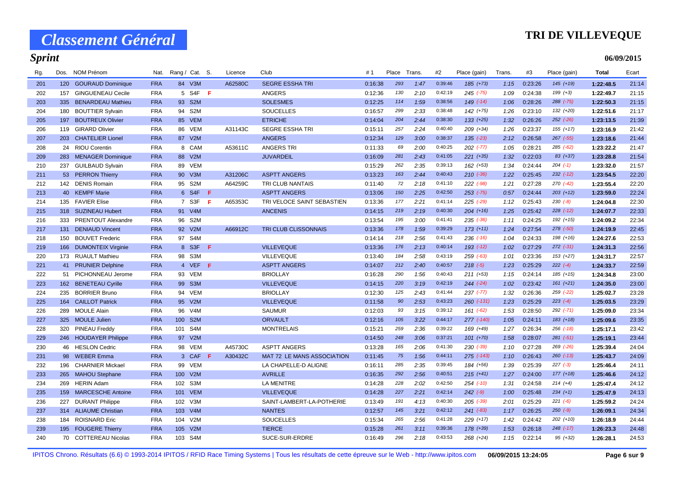#### **TRI DE VILLEVEQUE**

**06/09/2015**

#### *Sprint*

| 201 | 120 | <b>GOURAUD Dominique</b>  | <b>FRA</b> |                  | 84 V3M           |     | A62580C | <b>SEGRE ESSHATRI</b>             | 0:16:38 | 293 | 1:47 | 0:39:46 | $185 (+73)$     | 1:15 | 0:23:26 | $145 (+19)$   | 1:22:48.5 | 21:14 |
|-----|-----|---------------------------|------------|------------------|------------------|-----|---------|-----------------------------------|---------|-----|------|---------|-----------------|------|---------|---------------|-----------|-------|
| 202 | 157 | <b>GINGUENEAU Cecile</b>  | <b>FRA</b> |                  | 5 S4F <b>F</b>   |     |         | ANGERS                            | 0:12:36 | 130 | 2:10 | 0:42:19 | $245$ ( $-75$ ) | 1:09 | 0:24:38 | $199 (+3)$    | 1:22:49.7 | 21:15 |
| 203 | 335 | <b>BENARDEAU Mathieu</b>  | <b>FRA</b> |                  | 93 S2M           |     |         | <b>SOLESMES</b>                   | 0:12:25 | 114 | 1:59 | 0:38:56 | $149$ $(-14)$   | 1:06 | 0:28:26 | 288 (-75)     | 1:22:50.3 | 21:15 |
| 204 | 180 | <b>BOUTTIER Sylvain</b>   | <b>FRA</b> | 94               | S <sub>2</sub> M |     |         | <b>SOUCELLES</b>                  | 0:16:57 | 299 | 2:33 | 0:38:48 | $142 (+75)$     | 1:26 | 0:23:10 | 132 (+20)     | 1:22:51.6 | 21:17 |
| 205 | 197 | <b>BOUTREUX Olivier</b>   | <b>FRA</b> |                  | 85 VEM           |     |         | <b>ETRICHE</b>                    | 0:14:04 | 204 | 2:44 | 0:38:30 | $133 (+25)$     | 1:32 | 0:26:26 | $252$ $(-26)$ | 1:23:13.5 | 21:39 |
| 206 | 119 | <b>GIRARD Olivier</b>     | <b>FRA</b> | 86               | <b>VEM</b>       |     | A31143C | <b>SEGRE ESSHATRI</b>             | 0:15:11 | 257 | 2:24 | 0:40:40 | 209 (+34)       | 1:26 | 0:23:37 | $155 (+17)$   | 1:23:16.9 | 21:42 |
| 207 | 203 | <b>CHATELIER Lionel</b>   | <b>FRA</b> | 87               | V2M              |     |         | <b>ANGERS</b>                     | 0:12:34 | 129 | 3:00 | 0:38:37 | $135$ $(-23)$   | 2:12 | 0:26:58 | $267$ $(-55)$ | 1:23:18.6 | 21:44 |
| 208 | 24  | <b>RIOU Corentin</b>      | <b>FRA</b> |                  | 8 CAM            |     | A53611C | <b>ANGERS TRI</b>                 | 0:11:33 | 69  | 2:00 | 0:40:25 | $202$ $(-77)$   | 1:05 | 0:28:21 | $285 (-62)$   | 1:23:22.2 | 21:47 |
| 209 | 283 | <b>MENAGER Dominique</b>  | <b>FRA</b> | 88               | V2M              |     |         | <b>JUVARDEIL</b>                  | 0:16:09 | 281 | 2:43 | 0:41:05 | $221 (+35)$     | 1:32 | 0:22:03 | 83 (+37)      | 1:23:28.8 | 21:54 |
| 210 | 237 | <b>GUILBAUD Sylvain</b>   | <b>FRA</b> | 89               | <b>VEM</b>       |     |         |                                   | 0:15:29 | 262 | 2:35 | 0:39:13 | $162 (+53)$     | 1:34 | 0:24:44 | $204$ $(-1)$  | 1:23:32.0 | 21:57 |
| 211 | 53  | <b>PERRON Thierry</b>     | <b>FRA</b> | 90               | V3M              |     | A31206C | <b>ASPTT ANGERS</b>               | 0:13:23 | 163 | 2:44 | 0:40:43 | $210 (-36)$     | 1:22 | 0:25:45 | $232$ $(-12)$ | 1:23:54.5 | 22:20 |
| 212 | 142 | <b>DENIS Romain</b>       | <b>FRA</b> | 95               | S <sub>2</sub> M |     | A64259C | TRI CLUB NANTAIS                  | 0:11:40 | 72  | 2:18 | 0:41:10 | $222$ $(-98)$   | 1:21 | 0:27:28 | 270 (-42)     | 1:23:55.4 | 22:20 |
| 213 | 40  | <b>KEMPF Marie</b>        | <b>FRA</b> |                  | 6 S4F            | F.  |         | <b>ASPTT ANGERS</b>               | 0:13:06 | 150 | 2:25 | 0:42:50 | $253$ $(-75)$   | 0:57 | 0:24:44 | $203 (+12)$   | 1:23:59.0 | 22:24 |
| 214 | 135 | <b>FAVIER Elise</b>       | <b>FRA</b> |                  | 7 S3F            | F   | A65353C | TRI VELOCE SAINT SEBASTIEN        | 0:13:36 | 177 | 2:21 | 0:41:14 | $225$ $(-29)$   | 1:12 | 0:25:43 | $230 (-8)$    | 1:24:04.8 | 22:30 |
| 215 | 318 | <b>SUZINEAU Hubert</b>    | <b>FRA</b> |                  | 91 V4M           |     |         | <b>ANCENIS</b>                    | 0:14:15 | 219 | 2:19 | 0:40:30 | $204 (+16)$     | 1:25 | 0:25:42 | $228$ $(-12)$ | 1:24:07.7 | 22:33 |
| 216 | 333 | PRENTOUT Alexandre        | <b>FRA</b> | 96               | S2M              |     |         |                                   | 0:13:54 | 195 | 3:00 | 0:41:41 | $235$ $(-36)$   | 1:11 | 0:24:25 | 192 (+15)     | 1:24:09.2 | 22:34 |
| 217 | 131 | <b>DENIAUD Vincent</b>    | <b>FRA</b> |                  | 92 V2M           |     | A66912C | TRI CLUB CLISSONNAIS              | 0:13:36 | 178 | 1:59 | 0:39:29 | $173 (+11)$     | 1:24 | 0:27:54 | 278 (-50)     | 1:24:19.9 | 22:45 |
| 218 | 150 | <b>BOUVET Frederic</b>    | <b>FRA</b> |                  | 97 S4M           |     |         |                                   | 0:14:14 | 218 | 2:56 | 0:41:43 | $236$ $(-16)$   | 1:04 | 0:24:33 | 198 (+16)     | 1:24:27.6 | 22:53 |
| 219 | 166 | <b>DUMONTEIX Virginie</b> | <b>FRA</b> |                  | 8 S3F            | F.  |         | <b>VILLEVEQUE</b>                 | 0:13:36 | 176 | 2:13 | 0:40:14 | $193$ $(-12)$   | 1:02 | 0:27:29 | $272$ $(-31)$ | 1:24:31.3 | 22:56 |
| 220 | 173 | <b>RUAULT Mathieu</b>     | <b>FRA</b> |                  | 98 S3M           |     |         | VILLEVEQUE                        | 0:13:40 | 184 | 2:58 | 0:43:19 | $259$ $(-63)$   | 1:01 | 0:23:36 | 153 (+27)     | 1:24:31.7 | 22:57 |
| 221 | 41  | <b>PRUNIER Delphine</b>   | <b>FRA</b> |                  | 4 VEF            | F.  |         | <b>ASPTT ANGERS</b>               | 0:14:07 | 212 | 2:40 | 0:40:57 | $218 (-5)$      | 1:23 | 0:25:29 | $222 (-4)$    | 1:24:33.7 | 22:59 |
| 222 | 51  | PICHONNEAU Jerome         | <b>FRA</b> | 93               | <b>VEM</b>       |     |         | <b>BRIOLLAY</b>                   | 0:16:28 | 290 | 1:56 | 0:40:43 | $211 (+53)$     | 1:15 | 0:24:14 | $185 (+15)$   | 1:24:34.8 | 23:00 |
| 223 | 162 | <b>BENETEAU Cyrille</b>   | <b>FRA</b> | 99               | S <sub>3</sub> M |     |         | <b>VILLEVEQUE</b>                 | 0:14:15 | 220 | 3:19 | 0:42:19 | $244 (-24)$     | 1:02 | 0:23:42 | $161 (+21)$   | 1:24:35.0 | 23:00 |
| 224 | 235 | <b>BORRIER Bruno</b>      | <b>FRA</b> | 94               | <b>VEM</b>       |     |         | <b>BRIOLLAY</b>                   | 0:12:30 | 125 | 2:43 | 0:41:44 | $237 (-77)$     | 1:32 | 0:26:36 | 259 (-22)     | 1:25:02.7 | 23:28 |
| 225 | 164 | <b>CAILLOT Patrick</b>    | <b>FRA</b> | 95               | V2M              |     |         | <b>VILLEVEQUE</b>                 | 0:11:58 | 90  | 2:53 | 0:43:23 | $260$ $(-131)$  | 1:23 | 0:25:29 | $223 (-4)$    | 1:25:03.5 | 23:29 |
| 226 | 289 | <b>MOULE Alain</b>        | <b>FRA</b> | 96               | V <sub>4</sub> M |     |         | <b>SAUMUR</b>                     | 0:12:03 | 93  | 3:15 | 0:39:12 | $161 (-62)$     | 1:53 | 0:28:50 | 292 (-71)     | 1:25:09.0 | 23:34 |
| 227 | 325 | <b>MOULE Julien</b>       | <b>FRA</b> | 100              | S <sub>2M</sub>  |     |         | <b>ORVAULT</b>                    | 0:12:16 | 105 | 3:22 | 0:44:17 | 277 (-140)      | 1:05 | 0:24:11 | $183 (+18)$   | 1:25:09.6 | 23:35 |
| 228 | 320 | PINEAU Freddy             | <b>FRA</b> | 101              | S4M              |     |         | <b>MONTRELAIS</b>                 | 0:15:21 | 259 | 2:36 | 0:39:22 | 169 (+49)       | 1:27 | 0:26:34 | $256$ $(-18)$ | 1:25:17.1 | 23:42 |
| 229 | 246 | <b>HOUDAYER Philippe</b>  | <b>FRA</b> | 97               | V2M              |     |         |                                   | 0:14:50 | 248 | 3:06 | 0:37:21 | $101 (+70)$     | 1:58 | 0:28:07 | $281 (-51)$   | 1:25:19.1 | 23:44 |
| 230 | 46  | <b>HESLON Cedric</b>      | <b>FRA</b> |                  | 98 VEM           |     | A45730C | <b>ASPTT ANGERS</b>               | 0:13:28 | 165 | 2:06 | 0:41:30 | $230( -39)$     | 1:10 | 0:27:28 | $269$ $(-26)$ | 1:25:39.4 | 24:04 |
| 231 | 98  | <b>WEBER Emma</b>         | <b>FRA</b> |                  | 3 CAF            | -F. | A30432C | <b>MAT 72 LE MANS ASSOCIATION</b> | 0:11:45 | 75  | 1:56 | 0:44:11 | $275$ (-143)    | 1:10 | 0:26:43 | $260$ $(-13)$ | 1:25:43.7 | 24:09 |
| 232 | 196 | <b>CHARNIER Mickael</b>   | <b>FRA</b> |                  | 99 VEM           |     |         | LA CHAPELLE-D ALIGNE              | 0:16:11 | 285 | 2:35 | 0:39:45 | 184 (+56)       | 1:39 | 0:25:39 | $227 (-3)$    | 1:25:46.4 | 24:11 |
| 233 | 265 | <b>MAHOU Stephane</b>     | <b>FRA</b> | 100 <sub>1</sub> | V2M              |     |         | <b>AVRILLE</b>                    | 0:16:35 | 292 | 2:56 | 0:40:51 | $215 (+41)$     | 1:27 | 0:24:00 | $177 (+18)$   | 1:25:46.6 | 24:12 |
| 234 | 269 | <b>HERIN Adam</b>         | <b>FRA</b> | 102              | S3M              |     |         | <b>LA MENITRE</b>                 | 0:14:28 | 228 | 2:02 | 0:42:50 | $254$ $(-10)$   | 1:31 | 0:24:58 | $214 (+4)$    | 1:25:47.4 | 24:12 |
| 235 | 159 | <b>MARCESCHE Antoine</b>  | <b>FRA</b> | 101              | <b>VEM</b>       |     |         | <b>VILLEVEQUE</b>                 | 0:14:28 | 227 | 2:21 | 0:42:14 | $242 (-9)$      | 1:00 | 0:25:48 | $234 (+1)$    | 1:25:47.9 | 24:13 |
| 236 | 227 | <b>DURANT Philippe</b>    | <b>FRA</b> | 102              | V3M              |     |         | SAINT-LAMBERT-LA-POTHERIE         | 0:13:49 | 191 | 4:13 | 0:40:30 | $205$ $(-39)$   | 2:01 | 0:25:29 | $221 (-6)$    | 1:25:59.2 | 24:24 |

 314 ALIAUME Christian FRA 103 V4M NANTES 0:12:57 *145 3:21* 0:42:12 *241 (-83) 1:17* 0:26:25 *250 (-9)* **1:26:09.1** 24:34 184 ROISNARD Eric FRA 104 V2M SOUCELLES 0:15:34 *265 2:56* 0:41:28 *229 (+17) 1:42* 0:24:42 *202 (+10)* **1:26:18.9** 24:44 195 FOUGERE Thierry FRA 105 V2M TIERCE 0:15:28 *261 3:11* 0:39:36 *178 (+39) 1:53* 0:26:18 *248 (-17)* **1:26:23.3** 24:48 70 COTTEREAU Nicolas FRA 103 S4M SUCE-SUR-ERDRE 0:16:49 *296 2:18* 0:43:53 *268 (+24) 1:15* 0:22:14 *95 (+32)* **1:26:28.1** 24:53

Rg. Dos. NOM Prénom Nat. Rang / Cat. S. Licence Club # 1 Place Trans. #2 Place (gain) Ecart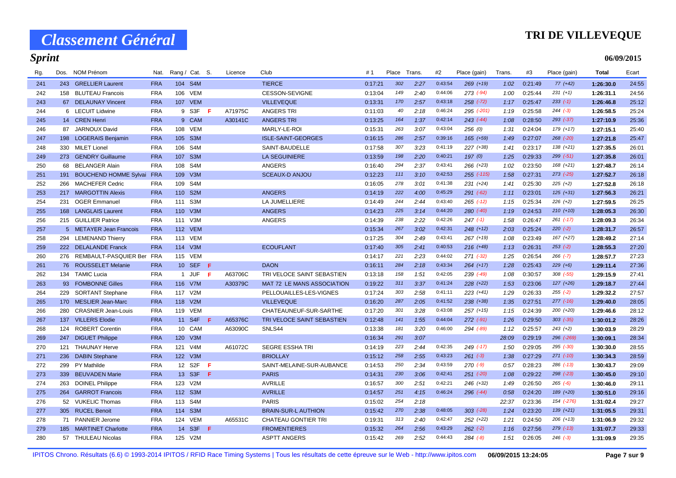### **TRI DE VILLEVEQUE**

**06/09/2015**

| Rg. | Dos. | NOM Prénom                       | Nat.       | Rang / Cat. S. |            |     | Licence | Club                       | #1      | Place | Trans. | #2      | Place (gain)   | Trans. | #3      | Place (gain)  | Total     | Ecart |
|-----|------|----------------------------------|------------|----------------|------------|-----|---------|----------------------------|---------|-------|--------|---------|----------------|--------|---------|---------------|-----------|-------|
| 241 |      | 243 GRELLIER Laurent             | <b>FRA</b> |                | 104 S4M    |     |         | <b>TIERCE</b>              | 0:17:21 | 302   | 2:27   | 0:43:54 | $269 (+19)$    | 1:02   | 0:21:49 | $77(+42)$     | 1:26:30.0 | 24:55 |
| 242 |      | 158 BLUTEAU Francois             | <b>FRA</b> |                | 106 VEM    |     |         | CESSON-SEVIGNE             | 0:13:04 | 149   | 2:40   | 0:44:06 | $273$ (-94)    | 1:00   | 0:25:44 | $231 (+1)$    | 1:26:31.1 | 24:56 |
| 243 |      | 67 DELAUNAY Vincent              | <b>FRA</b> |                | 107 VEM    |     |         | <b>VILLEVEQUE</b>          | 0:13:31 | 170   | 2:57   | 0:43:18 | $258$ $(-72)$  | 1:17   | 0:25:47 | $233 (-1)$    | 1:26:46.8 | 25:12 |
| 244 |      | 6 LECUIT Lidwine                 | <b>FRA</b> |                | 9 S3F      | -F. | A71975C | <b>ANGERS TRI</b>          | 0:11:03 | 40    | 2:18   | 0:46:24 | 295 (-201)     | 1:19   | 0:25:58 | $244 (-3)$    | 1:26:58.5 | 25:24 |
| 245 |      | 14 CREN Henri                    | <b>FRA</b> |                | 9 CAM      |     | A30141C | <b>ANGERS TRI</b>          | 0:13:25 | 164   | 1:37   | 0:42:14 | $243$ (-44)    | 1:08   | 0:28:50 | $293 (-37)$   | 1:27:10.9 | 25:36 |
| 246 |      | 87 JARNOUX David                 | <b>FRA</b> |                | 108 VEM    |     |         | MARLY-LE-ROI               | 0:15:31 | 263   | 3:07   | 0:43:04 | 256(0)         | 1:31   | 0:24:04 | 179 (+17)     | 1:27:15.1 | 25:40 |
| 247 |      | 198 LOGERAIS Benjamin            | <b>FRA</b> |                | 105 S3M    |     |         | <b>ISLE-SAINT-GEORGES</b>  | 0:16:15 | 286   | 2:57   | 0:39:16 | 165 (+59)      | 1:49   | 0:27:07 | $268$ $(-20)$ | 1:27:21.8 | 25:47 |
| 248 |      | 330 MILET Lionel                 | <b>FRA</b> |                | 106 S4M    |     |         | SAINT-BAUDELLE             | 0:17:58 | 307   | 3:23   | 0:41:19 | 227 (+38)      | 1:41   | 0:23:17 | $138 (+21)$   | 1:27:35.5 | 26:01 |
| 249 |      | 273 GENDRY Guillaume             | <b>FRA</b> |                | 107 S3M    |     |         | <b>LA SEGUINIERE</b>       | 0:13:59 | 198   | 2:20   | 0:40:21 | 197(0)         | 1:25   | 0:29:33 | $299 (-51)$   | 1:27:35.8 | 26:01 |
| 250 | 68   | <b>BELANGER Alain</b>            | <b>FRA</b> |                | 108 S4M    |     |         | <b>ANGERS</b>              | 0:16:40 | 294   | 2:37   | 0:43:41 | $266 (+23)$    | 1:02   | 0:23:50 | 168 (+21)     | 1:27:48.7 | 26:14 |
| 251 | 191  | <b>BOUCHEND HOMME Sylvai FRA</b> |            |                | 109 V3M    |     |         | <b>SCEAUX-D ANJOU</b>      | 0:12:23 | 111   | 3:10   | 0:42:53 | $255$ $(-115)$ | 1:58   | 0:27:31 | $273$ $(-25)$ | 1:27:52.7 | 26:18 |
| 252 |      | 266 MACHEFER Cedric              | <b>FRA</b> |                | 109 S4M    |     |         |                            | 0:16:05 | 278   | 3:01   | 0:41:38 | $231 (+24)$    | 1:41   | 0:25:30 | $225 (+2)$    | 1:27:52.8 | 26:18 |
| 253 |      | 217 MARGOTTIN Alexis             | <b>FRA</b> |                | 110 S2M    |     |         | <b>ANGERS</b>              | 0:14:19 | 222   | 4:00   | 0:45:29 | $291 (-62)$    | 1:11   | 0:23:01 | $125 (+31)$   | 1:27:56.3 | 26:21 |
| 254 | 231  | <b>OGER Emmanuel</b>             | <b>FRA</b> |                | 111 S3M    |     |         | LA JUMELLIERE              | 0:14:49 | 244   | 2:44   | 0:43:40 | $265$ $(-12)$  | 1:15   | 0:25:34 | $226 (+2)$    | 1:27:59.5 | 26:25 |
| 255 |      | 168 LANGLAIS Laurent             | <b>FRA</b> |                | 110 V3M    |     |         | <b>ANGERS</b>              | 0:14:23 | 225   | 3:14   | 0:44:20 | $280$ $(-40)$  | 1:19   | 0:24:53 | $210 (+10)$   | 1:28:05.3 | 26:30 |
| 256 |      | 215 GUILLIER Patrice             | <b>FRA</b> |                | 111 V3M    |     |         | <b>ANGERS</b>              | 0:14:39 | 238   | 2:22   | 0:42:26 | $247$ (-1)     | 1:58   | 0:26:47 | $261 (-17)$   | 1:28:09.3 | 26:34 |
| 257 |      | 5 METAYER Jean Francois          | <b>FRA</b> |                | 112 VEM    |     |         |                            | 0:15:34 | 267   | 3:02   | 0:42:31 | $248 (+12)$    | 2:03   | 0:25:24 | $220 (-2)$    | 1:28:31.7 | 26:57 |
| 258 |      | 294 LEMENAND Thierry             | <b>FRA</b> |                | 113 VEM    |     |         |                            | 0:17:25 | 304   | 2:49   | 0:43:41 | 267 (+19)      | 1:08   | 0:23:49 | $167 (+27)$   | 1:28:49.2 | 27:14 |
| 259 |      | 222 DELALANDE Franck             | <b>FRA</b> |                | 114 V3M    |     |         | <b>ECOUFLANT</b>           | 0:17:40 | 305   | 2:41   | 0:40:53 | $216 (+48)$    | 1:13   | 0:26:31 | $253 (-2)$    | 1:28:55.3 | 27:20 |
| 260 |      | 276 REMBAULT-PASQUIER Ber FRA    |            |                | 115 VEM    |     |         |                            | 0:14:17 | 221   | 2:23   | 0:44:02 | $271 (-32)$    | 1:25   | 0:26:54 | $266$ $(-7)$  | 1:28:57.7 | 27:23 |
| 261 |      | 76 ROUSSELET Melanie             | <b>FRA</b> |                | 10 SEF     | - F |         | <b>DAON</b>                | 0:16:11 | 284   | 2:18   | 0:43:34 | $264 (+17)$    | 1:28   | 0:25:43 | $229 (+6)$    | 1:29:11.4 | 27:36 |
| 262 |      | 134 TAMIC Lucia                  | <b>FRA</b> |                | 1 JUF      | - F | A63706C | TRI VELOCE SAINT SEBASTIEN | 0:13:18 | 158   | 1:51   | 0:42:05 | 239 (-49)      | 1:08   | 0:30:57 | $308$ $(-55)$ | 1:29:15.9 | 27:41 |
| 263 |      | 93 FOMBONNE Gilles               | <b>FRA</b> |                | 116 V7M    |     | A30379C | MAT 72 LE MANS ASSOCIATION | 0:19:22 | 311   | 3:37   | 0:41:24 | $228 (+22)$    | 1:53   | 0:23:06 | $127 (+26)$   | 1:29:18.7 | 27:44 |
| 264 |      | 229 SORTANT Stephane             | <b>FRA</b> |                | 117 V2M    |     |         | PELLOUAILLES-LES-VIGNES    | 0:17:24 | 303   | 2:58   | 0:41:11 | $223 (+41)$    | 1:29   | 0:26:33 | $255 (-2)$    | 1:29:32.2 | 27:57 |
| 265 |      | 170 MESLIER Jean-Marc            | <b>FRA</b> |                | 118 V2M    |     |         | <b>VILLEVEQUE</b>          | 0:16:20 | 287   | 2:05   | 0:41:52 | 238 (+38)      | 1:35   | 0:27:51 | $277$ (-16)   | 1:29:40.0 | 28:05 |
| 266 | 280  | <b>CRASNIER Jean-Louis</b>       | <b>FRA</b> |                | 119 VEM    |     |         | CHATEAUNEUF-SUR-SARTHE     | 0:17:20 | 301   | 3:28   | 0:43:08 | $257 (+15)$    | 1:15   | 0:24:39 | $200 (+20)$   | 1:29:46.6 | 28:12 |
| 267 | 137  | <b>VILLERS Elodie</b>            | <b>FRA</b> |                | 11 S4F     | -F  | A65376C | TRI VELOCE SAINT SEBASTIEN | 0:12:48 | 141   | 1:55   | 0:44:04 | $272$ $(-91)$  | 1:26   | 0:29:50 | $303$ $(-35)$ | 1:30:01.2 | 28:26 |
| 268 | 124  | <b>ROBERT Corentin</b>           | <b>FRA</b> |                | 10 CAM     |     | A63090C | SNLS44                     | 0:13:38 | 181   | 3:20   | 0:46:00 | 294 (-89)      | 1:12   | 0:25:57 | $243 (+2)$    | 1:30:03.9 | 28:29 |
| 269 | 247  | <b>DIGUET Philippe</b>           | <b>FRA</b> |                | 120 V3M    |     |         |                            | 0:16:34 | 291   | 3:07   |         |                | 28:09  | 0:29:19 | 296 (-269)    | 1:30:09.1 | 28:34 |
| 270 | 121  | <b>THAUNAY Herve</b>             | <b>FRA</b> |                | 121 V4M    |     | A61072C | <b>SEGRE ESSHA TRI</b>     | 0:14:19 | 223   | 2:44   | 0:42:35 | $249$ (-17)    | 1:50   | 0:29:05 | $295$ $(-30)$ | 1:30:30.0 | 28:55 |
| 271 | 236  | <b>DABIN Stephane</b>            | <b>FRA</b> |                | 122 V3M    |     |         | <b>BRIOLLAY</b>            | 0:15:12 | 258   | 2:55   | 0:43:23 | $261 (-3)$     | 1:38   | 0:27:29 | $271$ (-10)   | 1:30:34.3 | 28:59 |
| 272 | 299  | <b>PY Mathilde</b>               | <b>FRA</b> |                | 12 S2F     | -F  |         | SAINT-MELAINE-SUR-AUBANCE  | 0:14:53 | 250   | 2:34   | 0:43:59 | $270(-9)$      | 0:57   | 0:28:23 | $286$ $(-13)$ | 1:30:43.7 | 29:09 |
| 273 |      | 339 BEUVADEN Marie               | <b>FRA</b> |                | 13 S3F     | - F |         | <b>PARIS</b>               | 0:14:31 | 230   | 3:06   | 0:42:41 | $251$ $(-20)$  | 1:08   | 0:29:22 | $298$ $(-23)$ | 1:30:45.0 | 29:10 |
| 274 | 263  | <b>DOINEL Philippe</b>           | <b>FRA</b> |                | 123 V2M    |     |         | <b>AVRILLE</b>             | 0:16:57 | 300   | 2:51   | 0:42:21 | $246 (+32)$    | 1:49   | 0:26:50 | $265 (-6)$    | 1:30:46.0 | 29:11 |
| 275 | 264  | <b>GARROT Francois</b>           | <b>FRA</b> |                | 112 S3M    |     |         | <b>AVRILLE</b>             | 0:14:57 | 251   | 4:15   | 0:46:24 | $296 (+44)$    | 0:58   | 0:24:20 | 189 (+20)     | 1:30:51.0 | 29:16 |
| 276 |      | 52 VUKELIC Thomas                | <b>FRA</b> |                | 113 S4M    |     |         | <b>PARIS</b>               | 0:15:02 | 254   | 2:18   |         |                | 22:37  | 0:23:36 | 154 (-276)    | 1:31:02.4 | 29:27 |
| 277 | 305  | <b>RUCEL Benoit</b>              | <b>FRA</b> |                | 114 S3M    |     |         | <b>BRAIN-SUR-L AUTHION</b> | 0:15:42 | 270   | 2:38   | 0:48:05 | $303$ $(-28)$  | 1:24   | 0:23:20 | $139 (+21)$   | 1:31:05.5 | 29:31 |
| 278 | 71   | <b>PANNIER Jerome</b>            | <b>FRA</b> | 124            | <b>VEM</b> |     | A65531C | <b>CHATEAU GONTIER TRI</b> | 0:19:31 | 313   | 2:40   | 0:42:47 | 252 (+22)      | 1:21   | 0:24:50 | $206 (+13)$   | 1:31:06.9 | 29:32 |
| 279 |      | 185 MARTINET Charlotte           | <b>FRA</b> |                | 14 S3F F   |     |         | <b>FROMENTIERES</b>        | 0:15:32 | 264   | 2:56   | 0:43:29 | $262 (-2)$     | 1:16   | 0:27:56 | $279$ (-13)   | 1:31:07.7 | 29:33 |
| 280 |      | 57 THULEAU Nicolas               | <b>FRA</b> |                | 125 V2M    |     |         | <b>ASPTT ANGERS</b>        | 0:15:42 | 269   | 2:52   | 0:44:43 | $284(-8)$      | 1:51   | 0:26:05 | $246$ $(-3)$  | 1:31:09.9 | 29:35 |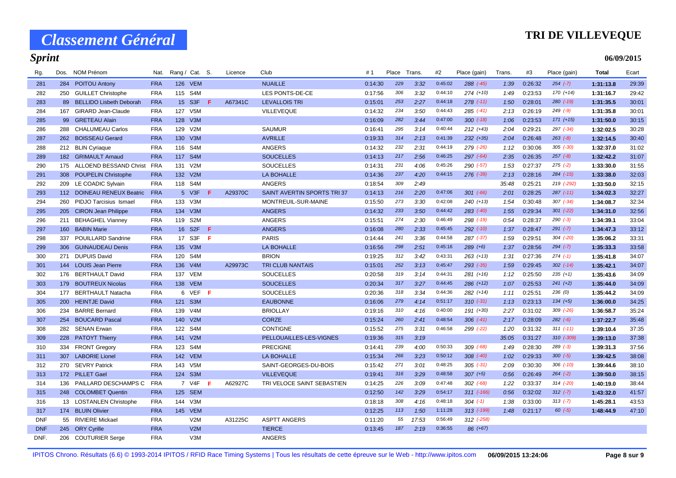### **TRI DE VILLEVEQUE**

**06/09/2015**

| Rg.        | Dos. | NOM Prénom                     | Nat.       | Rang / Cat. S. |                  |     | Licence | Club                       | # 1     | Place | Trans. | #2      | Place (gain)  | Trans. | #3      | Place (gain)  | Total     | Ecart |
|------------|------|--------------------------------|------------|----------------|------------------|-----|---------|----------------------------|---------|-------|--------|---------|---------------|--------|---------|---------------|-----------|-------|
| 281        | 284  | <b>POITOU Antony</b>           | <b>FRA</b> |                | 126 VEM          |     |         | <b>NUAILLE</b>             | 0:14:30 | 229   | 3:32   | 0:45:02 | $288$ $(-45)$ | 1:39   | 0:26:32 | $254 (-7)$    | 1:31:13.8 | 29:39 |
| 282        | 250  | <b>GUILLET Christophe</b>      | <b>FRA</b> |                | 115 S4M          |     |         | LES PONTS-DE-CE            | 0:17:56 | 306   | 3:32   | 0:44:10 | $274 (+10)$   | 1:49   | 0:23:53 | $170 (+14)$   | 1:31:16.7 | 29:42 |
| 283        | 89   | <b>BELLIDO Lisbeth Deborah</b> | <b>FRA</b> |                | 15 S3F           | -F  | A67341C | <b>LEVALLOIS TRI</b>       | 0:15:01 | 253   | 2:27   | 0:44:18 | $278$ $(-11)$ | 1:50   | 0:28:01 | $280$ (-19)   | 1:31:35.5 | 30:01 |
| 284        | 167  | GIRARD Jean-Claude             | <b>FRA</b> |                | 127 V5M          |     |         | <b>VILLEVEQUE</b>          | 0:14:32 | 234   | 3:50   | 0:44:43 | $285$ $(-41)$ | 2:13   | 0:26:19 | $249$ $(-9)$  | 1:31:35.8 | 30:01 |
| 285        | 99   | <b>GRETEAU Alain</b>           | <b>FRA</b> |                | 128 V3M          |     |         |                            | 0:16:09 | 282   | 3:44   | 0:47:00 | $300 (-18)$   | 1:06   | 0:23:53 | $171 (+15)$   | 1:31:50.0 | 30:15 |
| 286        | 288  | <b>CHALUMEAU Carlos</b>        | <b>FRA</b> |                | 129 V2M          |     |         | <b>SAUMUR</b>              | 0:16:41 | 295   | 3:14   | 0:40:44 | $212 (+43)$   | 2:04   | 0:29:21 | $297 (-34)$   | 1:32:02.5 | 30:28 |
| 287        | 262  | <b>BOISSEAU Gerard</b>         | <b>FRA</b> |                | 130 V3M          |     |         | <b>AVRILLE</b>             | 0:19:33 | 314   | 2:13   | 0:41:39 | $232 (+35)$   | 2:04   | 0:26:48 | $263 (-8)$    | 1:32:14.5 | 30:40 |
| 288        |      | 212 BLIN Cyriaque              | <b>FRA</b> |                | 116 S4M          |     |         | <b>ANGERS</b>              | 0:14:32 | 232   | 2:31   | 0:44:19 | 279 (-26)     | 1:12   | 0:30:06 | $305$ $(-30)$ | 1:32:37.0 | 31:02 |
| 289        | 182  | <b>GRIMAULT Arnaud</b>         | <b>FRA</b> |                | 117 S4M          |     |         | <b>SOUCELLES</b>           | 0:14:13 | 217   | 2:56   | 0:46:25 | 297 (-64)     | 2:35   | 0:26:35 | $257 (-8)$    | 1:32:42.2 | 31:07 |
| 290        | 175  | ALLOEND BESSAND Christ         | <b>FRA</b> |                | 131 V2M          |     |         | <b>SOUCELLES</b>           | 0:14:31 | 231   | 4:06   | 0:45:26 | 290 (-57)     | 1:53   | 0:27:37 | $275$ $(-2)$  | 1:33:30.0 | 31:55 |
| 291        | 308  | <b>POUPELIN Christophe</b>     | <b>FRA</b> |                | 132 V2M          |     |         | LA BOHALLE                 | 0:14:36 | 237   | 4:20   | 0:44:15 | 276 (-39)     | 2:13   | 0:28:16 | $284$ $(-15)$ | 1:33:38.0 | 32:03 |
| 292        | 209  | LE COADIC Sylvain              | <b>FRA</b> | 118            | S <sub>4</sub> M |     |         | <b>ANGERS</b>              | 0:18:54 | 309   | 2:49   |         |               | 35:48  | 0:25:21 | 219 (-292)    | 1:33:50.0 | 32:15 |
| 293        |      | 112 DOINEAU RENEUX Beatric     | <b>FRA</b> |                | 5 V3F            | F   | A29370C | SAINT AVERTIN SPORTS TRI37 | 0:14:13 | 216   | 2:20   | 0:47:06 | $301$ $(-66)$ | 2:01   | 0:28:25 | $287$ (-11)   | 1:34:02.3 | 32:27 |
| 294        | 260  | PIDJO Tarcisius Ismael         | <b>FRA</b> |                | 133 V3M          |     |         | MONTREUIL-SUR-MAINE        | 0:15:50 | 273   | 3:30   | 0:42:08 | $240 (+13)$   | 1:54   | 0:30:48 | $307$ $(-34)$ | 1:34:08.7 | 32:34 |
| 295        | 205  | <b>CIRON Jean Philippe</b>     | <b>FRA</b> |                | 134 V3M          |     |         | <b>ANGERS</b>              | 0:14:32 | 233   | 3:50   | 0:44:42 | 283 (-40)     | 1:55   | 0:29:34 | $301$ $(-22)$ | 1:34:31.0 | 32:56 |
| 296        | 211  | <b>BEHAGHEL Vianney</b>        | <b>FRA</b> |                | 119 S2M          |     |         | <b>ANGERS</b>              | 0:15:51 | 274   | 2:30   | 0:46:49 | 298 (-19)     | 0:54   | 0:28:37 | $290 (-3)$    | 1:34:39.1 | 33:04 |
| 297        | 160  | <b>BABIN Marie</b>             | <b>FRA</b> |                | 16 S2F           | -F  |         | <b>ANGERS</b>              | 0:16:08 | 280   | 2:33   | 0:45:45 | $292$ $(-10)$ | 1:37   | 0:28:47 | $291 (-7)$    | 1:34:47.3 | 33:12 |
| 298        | 337  | POUILLARD Sandrine             | <b>FRA</b> | 17             | S <sub>3F</sub>  | F   |         | <b>PARIS</b>               | 0:14:44 | 241   | 3:36   | 0:44:58 | 287 (-37)     | 1:59   | 0:29:51 | $304$ $(-20)$ | 1:35:06.2 | 33:31 |
| 299        | 306  | <b>GUINAUDEAU Denis</b>        | <b>FRA</b> |                | 135 V3M          |     |         | LA BOHALLE                 | 0:16:56 | 298   | 2:51   | 0:45:16 | $289 (+6)$    | 1:37   | 0:28:56 | $294 (-7)$    | 1:35:33.3 | 33:58 |
| 300        | 271  | <b>DUPUIS David</b>            | <b>FRA</b> |                | 120 S4M          |     |         | <b>BRION</b>               | 0:19:25 | 312   | 3:42   | 0:43:31 | $263 (+13)$   | 1:31   | 0:27:36 | $274$ $(-1)$  | 1:35:41.8 | 34:07 |
| 301        |      | 144 LOUIS Jean Pierre          | <b>FRA</b> |                | 136 V4M          |     | A29973C | <b>TRI CLUB NANTAIS</b>    | 0:15:01 | 252   | 3:13   | 0:45:47 | 293 (-35)     | 1:59   | 0:29:45 | $302$ $(-14)$ | 1:35:42.1 | 34:07 |
| 302        | 176  | <b>BERTHAULT David</b>         | <b>FRA</b> |                | 137 VEM          |     |         | <b>SOUCELLES</b>           | 0:20:58 | 319   | 3:14   | 0:44:31 | $281 (+16)$   | 1:12   | 0:25:50 | $235 (+1)$    | 1:35:43.6 | 34:09 |
| 303        | 179  | <b>BOUTREUX Nicolas</b>        | <b>FRA</b> |                | 138 VEM          |     |         | <b>SOUCELLES</b>           | 0:20:34 | 317   | 3:27   | 0:44:45 | $286 (+12)$   | 1:07   | 0:25:53 | $241 (+2)$    | 1:35:44.0 | 34:09 |
| 304        | 177  | <b>BERTHAULT Natacha</b>       | <b>FRA</b> | 6              | <b>VEF</b>       | - F |         | <b>SOUCELLES</b>           | 0:20:36 | 318   | 3:34   | 0:44:36 | $282 (+14)$   | 1:11   | 0:25:51 | 236(0)        | 1:35:44.2 | 34:09 |
| 305        | 200  | <b>HEINTJE David</b>           | <b>FRA</b> | 121            | S <sub>3</sub> M |     |         | <b>EAUBONNE</b>            | 0:16:06 | 279   | 4:14   | 0:51:17 | $310(-31)$    | 1:13   | 0:23:13 | $134 (+5)$    | 1:36:00.0 | 34:25 |
| 306        | 234  | <b>BARRE Bernard</b>           | <b>FRA</b> |                | 139 V4M          |     |         | <b>BRIOLLAY</b>            | 0:19:16 | 310   | 4:16   | 0:40:00 | $191 (+30)$   | 2:27   | 0:31:02 | $309$ $(-26)$ | 1:36:58.7 | 35:24 |
| 307        | 254  | <b>BOUCARD Pascal</b>          | <b>FRA</b> |                | 140 V2M          |     |         | <b>CORZE</b>               | 0:15:24 | 260   | 2:41   | 0:48:54 | $306$ $(-41)$ | 2:17   | 0:28:09 | $282 (-6)$    | 1:37:22.7 | 35:48 |
| 308        | 282  | <b>SENAN Erwan</b>             | <b>FRA</b> |                | 122 S4M          |     |         | <b>CONTIGNE</b>            | 0:15:52 | 275   | 3:31   | 0:46:58 | 299 (-22)     | 1:20   | 0:31:32 | $311 (-11)$   | 1:39:10.4 | 37:35 |
| 309        | 228  | <b>PATOYT Thierry</b>          | <b>FRA</b> |                | 141 V2M          |     |         | PELLOUAILLES-LES-VIGNES    | 0:19:36 | 315   | 3:19   |         |               | 35:05  | 0:31:27 | 310 (-309)    | 1:39:13.0 | 37:38 |
| 310        | 334  | <b>FRONT Gregory</b>           | <b>FRA</b> | 123            | S <sub>4</sub> M |     |         | <b>PRECIGNE</b>            | 0:14:41 | 239   | 4:00   | 0:50:33 | $309$ $(-68)$ | 1:49   | 0:28:30 | $289$ $(-3)$  | 1:39:31.3 | 37:56 |
| 311        | 307  | <b>LABORIE Lionel</b>          | <b>FRA</b> |                | 142 VEM          |     |         | <b>LA BOHALLE</b>          | 0:15:34 | 266   | 3:23   | 0:50:12 | $308$ $(-40)$ | 1:02   | 0:29:33 | $300 (-5)$    | 1:39:42.5 | 38:08 |
| 312        | 270  | <b>SEVRY Patrick</b>           | <b>FRA</b> |                | 143 V5M          |     |         | SAINT-GEORGES-DU-BOIS      | 0:15:42 | 271   | 3:01   | 0:48:25 | $305$ $(-31)$ | 2:09   | 0:30:30 | $306$ $(-10)$ | 1:39:44.6 | 38:10 |
| 313        |      | 172 PILLET Gael                | <b>FRA</b> |                | 124 S3M          |     |         | <b>VILLEVEQUE</b>          | 0:19:41 | 316   | 3:29   | 0:48:58 | $307 (+5)$    | 0:56   | 0:26:49 | $264 (-2)$    | 1:39:50.0 | 38:15 |
| 314        | 136  | PAILLARD DESCHAMPS C           | <b>FRA</b> |                | 7 V4F            | - F | A62927C | TRI VELOCE SAINT SEBASTIEN | 0:14:25 | 226   | 3:09   | 0:47:48 | $302$ $(-68)$ | 1:22   | 0:33:37 | $314 (-20)$   | 1:40:19.0 | 38:44 |
| 315        | 248  | <b>COLOMBET Quentin</b>        | <b>FRA</b> |                | 125 SEM          |     |         |                            | 0:12:50 | 142   | 3:29   | 0:54:17 | $311$ (-166)  | 0:56   | 0:32:02 | $312 (-7)$    | 1:43:32.0 | 41:57 |
| 316        |      | 13 LOSTANLEN Christophe        | <b>FRA</b> |                | 144 V3M          |     |         |                            | 0:18:18 | 308   | 4:16   | 0:48:18 | $304$ $(-1)$  | 1:38   | 0:33:00 | $313 (-7)$    | 1:45:28.1 | 43:53 |
| 317        | 174  | <b>BLUIN Olivier</b>           | <b>FRA</b> |                | 145 VEM          |     |         |                            | 0:12:25 | 113   | 1:50   | 1:11:28 | 313 (-199)    | 1:48   | 0:21:17 | $60 (-5)$     | 1:48:44.9 | 47:10 |
| <b>DNF</b> | 55   | <b>RIVIERE Mickael</b>         | <b>FRA</b> |                | V2M              |     | A31225C | <b>ASPTT ANGERS</b>        | 0:11:20 | 55    | 17:53  | 0:56:49 | $312$ (-258)  |        |         |               |           |       |
| <b>DNF</b> |      | 245 ORY Cyrille                | <b>FRA</b> |                | V2M              |     |         | <b>TIERCE</b>              | 0:13:45 | 187   | 2:19   | 0:36:55 | 86 (+67)      |        |         |               |           |       |
| DNF.       |      | 206 COUTURIER Serge            | <b>FRA</b> |                | V <sub>3</sub> M |     |         | <b>ANGERS</b>              |         |       |        |         |               |        |         |               |           |       |